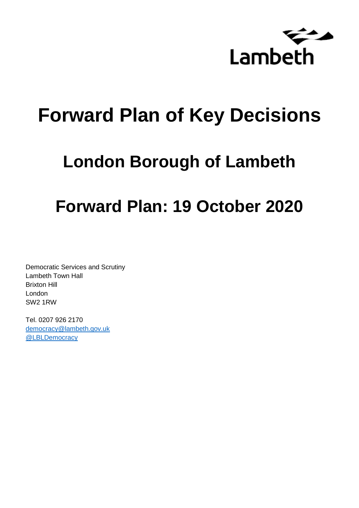

# **Forward Plan of Key Decisions**

# **London Borough of Lambeth**

# **Forward Plan: 19 October 2020**

Democratic Services and Scrutiny Lambeth Town Hall Brixton Hill London SW2 1RW

Tel. 0207 926 2170 [democracy@lambeth.gov.uk](mailto:democracy@lambeth.gov.uk) [@LBLDemocracy](https://twitter.com/LBLDemocracy?lang=en)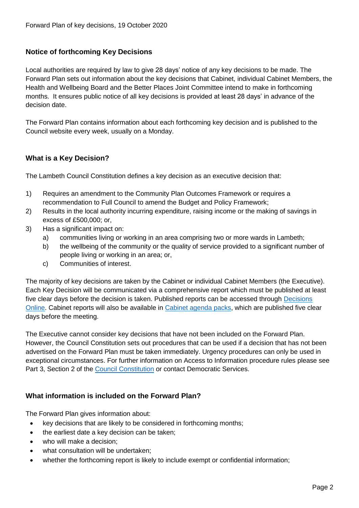# **Notice of forthcoming Key Decisions**

Local authorities are required by law to give 28 days' notice of any key decisions to be made. The Forward Plan sets out information about the key decisions that Cabinet, individual Cabinet Members, the Health and Wellbeing Board and the Better Places Joint Committee intend to make in forthcoming months. It ensures public notice of all key decisions is provided at least 28 days' in advance of the decision date.

The Forward Plan contains information about each forthcoming key decision and is published to the Council website every week, usually on a Monday.

# **What is a Key Decision?**

The Lambeth Council Constitution defines a key decision as an executive decision that:

- 1) Requires an amendment to the Community Plan Outcomes Framework or requires a recommendation to Full Council to amend the Budget and Policy Framework;
- 2) Results in the local authority incurring expenditure, raising income or the making of savings in excess of £500,000; or,
- 3) Has a significant impact on:
	- a) communities living or working in an area comprising two or more wards in Lambeth;
	- b) the wellbeing of the community or the quality of service provided to a significant number of people living or working in an area; or,
	- c) Communities of interest.

The majority of key decisions are taken by the Cabinet or individual Cabinet Members (the Executive). Each Key Decision will be communicated via a comprehensive report which must be published at least five clear days before the decision is taken. Published reports can be accessed through Decisions [Online.](http://moderngov.lambeth.gov.uk/mgDelegatedDecisions.aspx?bcr=1&DM=0&DS=2&K=0&DR=&V=0) Cabinet reports will also be available in [Cabinet agenda packs,](https://moderngov.lambeth.gov.uk/ieListMeetings.aspx?CommitteeId=225) which are published five clear days before the meeting.

The Executive cannot consider key decisions that have not been included on the Forward Plan. However, the Council Constitution sets out procedures that can be used if a decision that has not been advertised on the Forward Plan must be taken immediately. Urgency procedures can only be used in exceptional circumstances. For further information on Access to Information procedure rules please see Part 3, Section 2 of the [Council Constitution](http://moderngov.lambeth.gov.uk/ieListMeetings.aspx?CId=738&info=1&MD=Constitution) or contact Democratic Services.

# **What information is included on the Forward Plan?**

The Forward Plan gives information about:

- key decisions that are likely to be considered in forthcoming months;
- the earliest date a key decision can be taken;
- who will make a decision;
- what consultation will be undertaken;
- whether the forthcoming report is likely to include exempt or confidential information;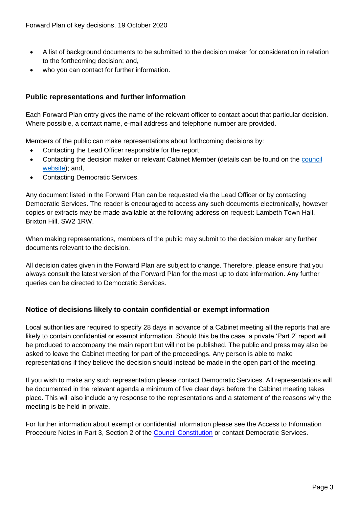- A list of background documents to be submitted to the decision maker for consideration in relation to the forthcoming decision; and,
- who you can contact for further information.

# **Public representations and further information**

Each Forward Plan entry gives the name of the relevant officer to contact about that particular decision. Where possible, a contact name, e-mail address and telephone number are provided.

Members of the public can make representations about forthcoming decisions by:

- Contacting the Lead Officer responsible for the report;
- Contacting the decision maker or relevant Cabinet Member (details can be found on the council [website\)](http://moderngov.lambeth.gov.uk/mgMemberIndex.aspx?bcr=1); and,
- Contacting Democratic Services.

Any document listed in the Forward Plan can be requested via the Lead Officer or by contacting Democratic Services. The reader is encouraged to access any such documents electronically, however copies or extracts may be made available at the following address on request: Lambeth Town Hall, Brixton Hill, SW2 1RW.

When making representations, members of the public may submit to the decision maker any further documents relevant to the decision.

All decision dates given in the Forward Plan are subject to change. Therefore, please ensure that you always consult the latest version of the Forward Plan for the most up to date information. Any further queries can be directed to Democratic Services.

# **Notice of decisions likely to contain confidential or exempt information**

Local authorities are required to specify 28 days in advance of a Cabinet meeting all the reports that are likely to contain confidential or exempt information. Should this be the case, a private 'Part 2' report will be produced to accompany the main report but will not be published. The public and press may also be asked to leave the Cabinet meeting for part of the proceedings. Any person is able to make representations if they believe the decision should instead be made in the open part of the meeting.

If you wish to make any such representation please contact Democratic Services. All representations will be documented in the relevant agenda a minimum of five clear days before the Cabinet meeting takes place. This will also include any response to the representations and a statement of the reasons why the meeting is be held in private.

For further information about exempt or confidential information please see the Access to Information Procedure Notes in Part 3, Section 2 of the [Council Constitution](http://moderngov.lambeth.gov.uk/ieListMeetings.aspx?CId=738&info=1&MD=Constitution) or contact Democratic Services.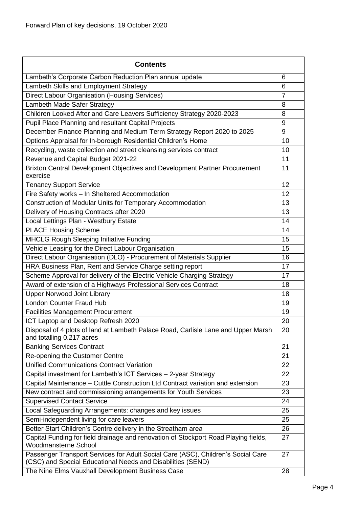| <b>Contents</b>                                                                                                                                 |                |
|-------------------------------------------------------------------------------------------------------------------------------------------------|----------------|
| Lambeth's Corporate Carbon Reduction Plan annual update                                                                                         | 6              |
| Lambeth Skills and Employment Strategy                                                                                                          | 6              |
| Direct Labour Organisation (Housing Services)                                                                                                   | $\overline{7}$ |
| Lambeth Made Safer Strategy                                                                                                                     | 8              |
| Children Looked After and Care Leavers Sufficiency Strategy 2020-2023                                                                           | 8              |
| Pupil Place Planning and resultant Capital Projects                                                                                             | 9              |
| December Finance Planning and Medium Term Strategy Report 2020 to 2025                                                                          | 9              |
| Options Appraisal for In-borough Residential Children's Home                                                                                    | 10             |
| Recycling, waste collection and street cleansing services contract                                                                              | 10             |
| Revenue and Capital Budget 2021-22                                                                                                              | 11             |
| Brixton Central Development Objectives and Development Partner Procurement<br>exercise                                                          | 11             |
| <b>Tenancy Support Service</b>                                                                                                                  | 12             |
| Fire Safety works - In Sheltered Accommodation                                                                                                  | 12             |
| Construction of Modular Units for Temporary Accommodation                                                                                       | 13             |
| Delivery of Housing Contracts after 2020                                                                                                        | 13             |
| Local Lettings Plan - Westbury Estate                                                                                                           | 14             |
| <b>PLACE Housing Scheme</b>                                                                                                                     | 14             |
| MHCLG Rough Sleeping Initiative Funding                                                                                                         | 15             |
| Vehicle Leasing for the Direct Labour Organisation                                                                                              | 15             |
| Direct Labour Organisation (DLO) - Procurement of Materials Supplier                                                                            | 16             |
| HRA Business Plan, Rent and Service Charge setting report                                                                                       | 17             |
| Scheme Approval for delivery of the Electric Vehicle Charging Strategy                                                                          | 17             |
| Award of extension of a Highways Professional Services Contract                                                                                 | 18             |
| <b>Upper Norwood Joint Library</b>                                                                                                              | 18             |
| <b>London Counter Fraud Hub</b>                                                                                                                 | 19             |
| <b>Facilities Management Procurement</b>                                                                                                        | 19             |
| ICT Laptop and Desktop Refresh 2020                                                                                                             | 20             |
| Disposal of 4 plots of land at Lambeth Palace Road, Carlisle Lane and Upper Marsh<br>and totalling 0.217 acres                                  | 20             |
| <b>Banking Services Contract</b>                                                                                                                | 21             |
| Re-opening the Customer Centre                                                                                                                  | 21             |
| <b>Unified Communications Contract Variation</b>                                                                                                | 22             |
| Capital investment for Lambeth's ICT Services - 2-year Strategy                                                                                 | 22             |
| Capital Maintenance - Cuttle Construction Ltd Contract variation and extension                                                                  | 23             |
| New contract and commissioning arrangements for Youth Services                                                                                  | 23             |
| <b>Supervised Contact Service</b>                                                                                                               | 24             |
| Local Safeguarding Arrangements: changes and key issues                                                                                         | 25             |
| Semi-independent living for care leavers                                                                                                        | 25             |
| Better Start Children's Centre delivery in the Streatham area                                                                                   | 26             |
| Capital Funding for field drainage and renovation of Stockport Road Playing fields,<br>Woodmansterne School                                     | 27             |
| Passenger Transport Services for Adult Social Care (ASC), Children's Social Care<br>(CSC) and Special Educational Needs and Disabilities (SEND) | 27             |
| The Nine Elms Vauxhall Development Business Case                                                                                                | 28             |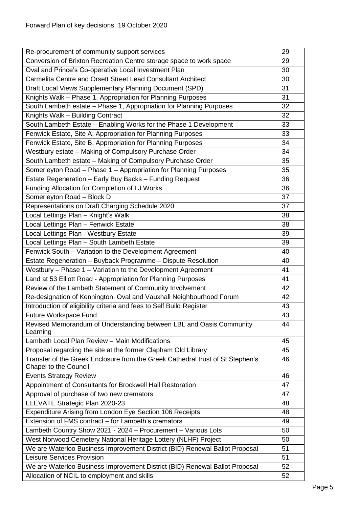| Re-procurement of community support services                                                                   | 29 |
|----------------------------------------------------------------------------------------------------------------|----|
| Conversion of Brixton Recreation Centre storage space to work space                                            | 29 |
| Oval and Prince's Co-operative Local Investment Plan                                                           | 30 |
| Carmelita Centre and Orsett Street Lead Consultant Architect                                                   | 30 |
| Draft Local Views Supplementary Planning Document (SPD)                                                        | 31 |
| Knights Walk - Phase 1, Appropriation for Planning Purposes                                                    | 31 |
| South Lambeth estate - Phase 1, Appropriation for Planning Purposes                                            | 32 |
| Knights Walk - Building Contract                                                                               | 32 |
| South Lambeth Estate - Enabling Works for the Phase 1 Development                                              | 33 |
| Fenwick Estate, Site A, Appropriation for Planning Purposes                                                    | 33 |
| Fenwick Estate, Site B, Appropriation for Planning Purposes                                                    | 34 |
| Westbury estate - Making of Compulsory Purchase Order                                                          | 34 |
| South Lambeth estate - Making of Compulsory Purchase Order                                                     | 35 |
| Somerleyton Road - Phase 1 - Appropriation for Planning Purposes                                               | 35 |
| Estate Regeneration - Early Buy Backs - Funding Request                                                        | 36 |
| Funding Allocation for Completion of LJ Works                                                                  | 36 |
| Somerleyton Road - Block D                                                                                     | 37 |
| Representations on Draft Charging Schedule 2020                                                                | 37 |
| Local Lettings Plan - Knight's Walk                                                                            | 38 |
| Local Lettings Plan - Fenwick Estate                                                                           | 38 |
| Local Lettings Plan - Westbury Estate                                                                          | 39 |
| Local Lettings Plan - South Lambeth Estate                                                                     | 39 |
| Fenwick South - Variation to the Development Agreement                                                         | 40 |
| Estate Regeneration - Buyback Programme - Dispute Resolution                                                   | 40 |
| Westbury - Phase 1 - Variation to the Development Agreement                                                    | 41 |
| Land at 53 Elliott Road - Appropriation for Planning Purposes                                                  | 41 |
| Review of the Lambeth Statement of Community Involvement                                                       | 42 |
| Re-designation of Kennington, Oval and Vauxhall Neighbourhood Forum                                            | 42 |
| Introduction of eligibility criteria and fees to Self Build Register                                           | 43 |
| Future Workspace Fund                                                                                          | 43 |
| Revised Memorandum of Understanding between LBL and Oasis Community<br>Learning                                | 44 |
| Lambeth Local Plan Review - Main Modifications                                                                 | 45 |
| Proposal regarding the site at the former Clapham Old Library                                                  | 45 |
| Transfer of the Greek Enclosure from the Greek Cathedral trust of St Stephen's<br><b>Chapel to the Council</b> | 46 |
| <b>Events Strategy Review</b>                                                                                  | 46 |
| Appointment of Consultants for Brockwell Hall Restoration                                                      | 47 |
| Approval of purchase of two new cremators                                                                      | 47 |
| ELEVATE Strategic Plan 2020-23                                                                                 | 48 |
| Expenditure Arising from London Eye Section 106 Receipts                                                       | 48 |
| Extension of FMS contract - for Lambeth's cremators                                                            | 49 |
| Lambeth Country Show 2021 - 2024 - Procurement - Various Lots                                                  | 50 |
| West Norwood Cemetery National Heritage Lottery (NLHF) Project                                                 | 50 |
| We are Waterloo Business Improvement District (BID) Renewal Ballot Proposal                                    | 51 |
| <b>Leisure Services Provision</b>                                                                              | 51 |
| We are Waterloo Business Improvement District (BID) Renewal Ballot Proposal                                    | 52 |
| Allocation of NCIL to employment and skills                                                                    | 52 |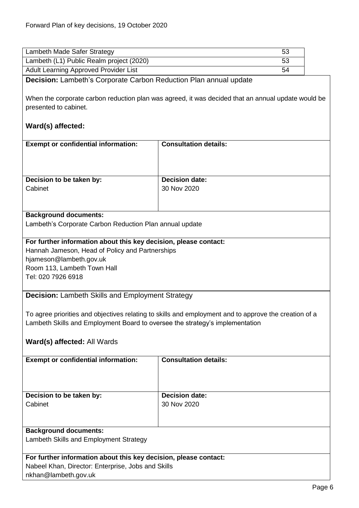<span id="page-5-1"></span><span id="page-5-0"></span>

| Lambeth Made Safer Strategy                                                                                                                                                                         | 53                           |  |
|-----------------------------------------------------------------------------------------------------------------------------------------------------------------------------------------------------|------------------------------|--|
| Lambeth (L1) Public Realm project (2020)                                                                                                                                                            | 53                           |  |
| Adult Learning Approved Provider List                                                                                                                                                               | 54                           |  |
| <b>Decision:</b> Lambeth's Corporate Carbon Reduction Plan annual update                                                                                                                            |                              |  |
| When the corporate carbon reduction plan was agreed, it was decided that an annual update would be                                                                                                  |                              |  |
| presented to cabinet.                                                                                                                                                                               |                              |  |
| Ward(s) affected:                                                                                                                                                                                   |                              |  |
| <b>Exempt or confidential information:</b>                                                                                                                                                          | <b>Consultation details:</b> |  |
|                                                                                                                                                                                                     |                              |  |
| Decision to be taken by:                                                                                                                                                                            | <b>Decision date:</b>        |  |
| Cabinet                                                                                                                                                                                             | 30 Nov 2020                  |  |
|                                                                                                                                                                                                     |                              |  |
| <b>Background documents:</b>                                                                                                                                                                        |                              |  |
| Lambeth's Corporate Carbon Reduction Plan annual update                                                                                                                                             |                              |  |
|                                                                                                                                                                                                     |                              |  |
| For further information about this key decision, please contact:<br>Hannah Jameson, Head of Policy and Partnerships<br>hjameson@lambeth.gov.uk<br>Room 113, Lambeth Town Hall<br>Tel: 020 7926 6918 |                              |  |
| <b>Decision:</b> Lambeth Skills and Employment Strategy                                                                                                                                             |                              |  |
| To agree priorities and objectives relating to skills and employment and to approve the creation of a<br>Lambeth Skills and Employment Board to oversee the strategy's implementation               |                              |  |
| Ward(s) affected: All Wards                                                                                                                                                                         |                              |  |
| <b>Exempt or confidential information:</b>                                                                                                                                                          | <b>Consultation details:</b> |  |
| <b>Decision date:</b><br>Decision to be taken by:                                                                                                                                                   |                              |  |
| Cabinet                                                                                                                                                                                             | 30 Nov 2020                  |  |
|                                                                                                                                                                                                     |                              |  |
| <b>Background documents:</b>                                                                                                                                                                        |                              |  |
| Lambeth Skills and Employment Strategy                                                                                                                                                              |                              |  |
| For further information about this key decision, please contact:                                                                                                                                    |                              |  |
| Nabeel Khan, Director: Enterprise, Jobs and Skills<br>nkhan@lambeth.gov.uk                                                                                                                          |                              |  |
|                                                                                                                                                                                                     |                              |  |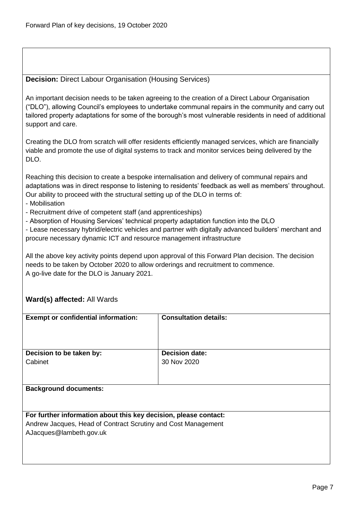### <span id="page-6-0"></span>**Decision:** Direct Labour Organisation (Housing Services)

An important decision needs to be taken agreeing to the creation of a Direct Labour Organisation ("DLO"), allowing Council's employees to undertake communal repairs in the community and carry out tailored property adaptations for some of the borough's most vulnerable residents in need of additional support and care.

Creating the DLO from scratch will offer residents efficiently managed services, which are financially viable and promote the use of digital systems to track and monitor services being delivered by the DLO.

Reaching this decision to create a bespoke internalisation and delivery of communal repairs and adaptations was in direct response to listening to residents' feedback as well as members' throughout. Our ability to proceed with the structural setting up of the DLO in terms of:

- Mobilisation
- Recruitment drive of competent staff (and apprenticeships)
- Absorption of Housing Services' technical property adaptation function into the DLO

- Lease necessary hybrid/electric vehicles and partner with digitally advanced builders' merchant and procure necessary dynamic ICT and resource management infrastructure

All the above key activity points depend upon approval of this Forward Plan decision. The decision needs to be taken by October 2020 to allow orderings and recruitment to commence. A go-live date for the DLO is January 2021.

| <b>Exempt or confidential information:</b>                       | <b>Consultation details:</b> |
|------------------------------------------------------------------|------------------------------|
|                                                                  |                              |
|                                                                  |                              |
|                                                                  |                              |
|                                                                  |                              |
| Decision to be taken by:                                         | <b>Decision date:</b>        |
| Cabinet                                                          | 30 Nov 2020                  |
|                                                                  |                              |
|                                                                  |                              |
|                                                                  |                              |
| <b>Background documents:</b>                                     |                              |
|                                                                  |                              |
|                                                                  |                              |
|                                                                  |                              |
| For further information about this key decision, please contact: |                              |
| Andrew Jacques, Head of Contract Scrutiny and Cost Management    |                              |
| AJacques@lambeth.gov.uk                                          |                              |
|                                                                  |                              |
|                                                                  |                              |
|                                                                  |                              |
|                                                                  |                              |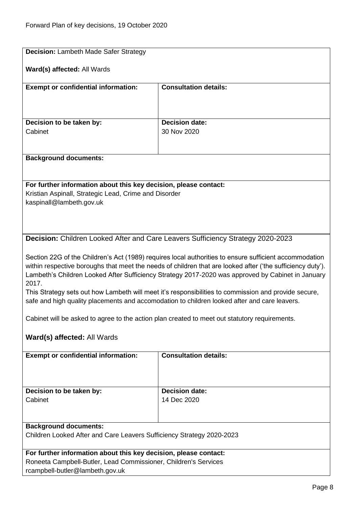<span id="page-7-1"></span><span id="page-7-0"></span>

| <b>Decision: Lambeth Made Safer Strategy</b>                                                                                                                                                                                                                                                                                                                                                                                                                                                                                               |                                                                                 |  |
|--------------------------------------------------------------------------------------------------------------------------------------------------------------------------------------------------------------------------------------------------------------------------------------------------------------------------------------------------------------------------------------------------------------------------------------------------------------------------------------------------------------------------------------------|---------------------------------------------------------------------------------|--|
| Ward(s) affected: All Wards                                                                                                                                                                                                                                                                                                                                                                                                                                                                                                                |                                                                                 |  |
| <b>Exempt or confidential information:</b>                                                                                                                                                                                                                                                                                                                                                                                                                                                                                                 | <b>Consultation details:</b>                                                    |  |
|                                                                                                                                                                                                                                                                                                                                                                                                                                                                                                                                            |                                                                                 |  |
| Decision to be taken by:                                                                                                                                                                                                                                                                                                                                                                                                                                                                                                                   | <b>Decision date:</b>                                                           |  |
| Cabinet                                                                                                                                                                                                                                                                                                                                                                                                                                                                                                                                    | 30 Nov 2020                                                                     |  |
|                                                                                                                                                                                                                                                                                                                                                                                                                                                                                                                                            |                                                                                 |  |
| <b>Background documents:</b>                                                                                                                                                                                                                                                                                                                                                                                                                                                                                                               |                                                                                 |  |
|                                                                                                                                                                                                                                                                                                                                                                                                                                                                                                                                            |                                                                                 |  |
| For further information about this key decision, please contact:                                                                                                                                                                                                                                                                                                                                                                                                                                                                           |                                                                                 |  |
| Kristian Aspinall, Strategic Lead, Crime and Disorder                                                                                                                                                                                                                                                                                                                                                                                                                                                                                      |                                                                                 |  |
| kaspinall@lambeth.gov.uk                                                                                                                                                                                                                                                                                                                                                                                                                                                                                                                   |                                                                                 |  |
|                                                                                                                                                                                                                                                                                                                                                                                                                                                                                                                                            |                                                                                 |  |
|                                                                                                                                                                                                                                                                                                                                                                                                                                                                                                                                            |                                                                                 |  |
|                                                                                                                                                                                                                                                                                                                                                                                                                                                                                                                                            | Decision: Children Looked After and Care Leavers Sufficiency Strategy 2020-2023 |  |
| Section 22G of the Children's Act (1989) requires local authorities to ensure sufficient accommodation<br>within respective boroughs that meet the needs of children that are looked after ('the sufficiency duty').<br>Lambeth's Children Looked After Sufficiency Strategy 2017-2020 was approved by Cabinet in January<br>2017.<br>This Strategy sets out how Lambeth will meet it's responsibilities to commission and provide secure,<br>safe and high quality placements and accomodation to children looked after and care leavers. |                                                                                 |  |
| Cabinet will be asked to agree to the action plan created to meet out statutory requirements.                                                                                                                                                                                                                                                                                                                                                                                                                                              |                                                                                 |  |
| Ward(s) affected: All Wards                                                                                                                                                                                                                                                                                                                                                                                                                                                                                                                |                                                                                 |  |
| <b>Exempt or confidential information:</b>                                                                                                                                                                                                                                                                                                                                                                                                                                                                                                 | <b>Consultation details:</b>                                                    |  |
|                                                                                                                                                                                                                                                                                                                                                                                                                                                                                                                                            |                                                                                 |  |
| Decision to be taken by:                                                                                                                                                                                                                                                                                                                                                                                                                                                                                                                   | <b>Decision date:</b>                                                           |  |
| Cabinet                                                                                                                                                                                                                                                                                                                                                                                                                                                                                                                                    | 14 Dec 2020                                                                     |  |
| <b>Background documents:</b>                                                                                                                                                                                                                                                                                                                                                                                                                                                                                                               |                                                                                 |  |
| Children Looked After and Care Leavers Sufficiency Strategy 2020-2023                                                                                                                                                                                                                                                                                                                                                                                                                                                                      |                                                                                 |  |
| For further information about this key decision, please contact:                                                                                                                                                                                                                                                                                                                                                                                                                                                                           |                                                                                 |  |
| Roneeta Campbell-Butler, Lead Commissioner, Children's Services<br>rcampbell-butler@lambeth.gov.uk                                                                                                                                                                                                                                                                                                                                                                                                                                         |                                                                                 |  |
|                                                                                                                                                                                                                                                                                                                                                                                                                                                                                                                                            |                                                                                 |  |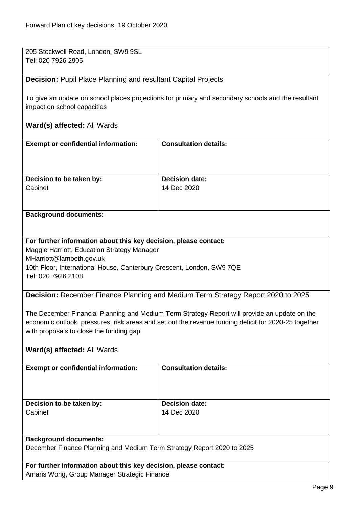205 Stockwell Road, London, SW9 9SL Tel: 020 7926 2905

#### <span id="page-8-0"></span>**Decision:** Pupil Place Planning and resultant Capital Projects

To give an update on school places projections for primary and secondary schools and the resultant impact on school capacities

#### **Ward(s) affected:** All Wards

| <b>Exempt or confidential information:</b> | <b>Consultation details:</b> |
|--------------------------------------------|------------------------------|
| Decision to be taken by:                   | <b>Decision date:</b>        |
| Cabinet                                    | 14 Dec 2020                  |

#### **Background documents:**

#### **For further information about this key decision, please contact:**

Maggie Harriott, Education Strategy Manager MHarriott@lambeth.gov.uk 10th Floor, International House, Canterbury Crescent, London, SW9 7QE Tel: 020 7926 2108

<span id="page-8-1"></span>**Decision:** December Finance Planning and Medium Term Strategy Report 2020 to 2025

The December Financial Planning and Medium Term Strategy Report will provide an update on the economic outlook, pressures, risk areas and set out the revenue funding deficit for 2020-25 together with proposals to close the funding gap.

#### **Ward(s) affected:** All Wards

| <b>Exempt or confidential information:</b>                             | <b>Consultation details:</b> |
|------------------------------------------------------------------------|------------------------------|
| Decision to be taken by:                                               | <b>Decision date:</b>        |
| Cabinet                                                                | 14 Dec 2020                  |
| <b>Background documents:</b>                                           |                              |
| December Finance Planning and Medium Term Strategy Report 2020 to 2025 |                              |

**For further information about this key decision, please contact:** Amaris Wong, Group Manager Strategic Finance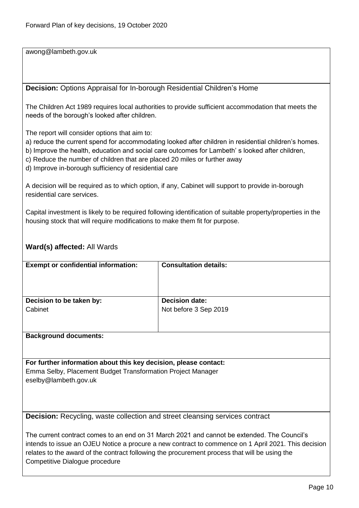awong@lambeth.gov.uk

<span id="page-9-0"></span>**Decision:** Options Appraisal for In-borough Residential Children's Home

The Children Act 1989 requires local authorities to provide sufficient accommodation that meets the needs of the borough's looked after children.

The report will consider options that aim to:

a) reduce the current spend for accommodating looked after children in residential children's homes.

b) Improve the health, education and social care outcomes for Lambeth' s looked after children,

- c) Reduce the number of children that are placed 20 miles or further away
- d) Improve in-borough sufficiency of residential care

A decision will be required as to which option, if any, Cabinet will support to provide in-borough residential care services.

Capital investment is likely to be required following identification of suitable property/properties in the housing stock that will require modifications to make them fit for purpose.

# **Ward(s) affected:** All Wards

| <b>Exempt or confidential information:</b>                       | <b>Consultation details:</b> |
|------------------------------------------------------------------|------------------------------|
|                                                                  |                              |
|                                                                  |                              |
|                                                                  |                              |
|                                                                  |                              |
| Decision to be taken by:                                         | <b>Decision date:</b>        |
| Cabinet                                                          | Not before 3 Sep 2019        |
|                                                                  |                              |
|                                                                  |                              |
|                                                                  |                              |
| <b>Background documents:</b>                                     |                              |
|                                                                  |                              |
|                                                                  |                              |
|                                                                  |                              |
| For further information about this key decision, please contact: |                              |
| Emma Selby, Placement Budget Transformation Project Manager      |                              |
| eselby@lambeth.gov.uk                                            |                              |
|                                                                  |                              |

<span id="page-9-1"></span>**Decision:** Recycling, waste collection and street cleansing services contract

The current contract comes to an end on 31 March 2021 and cannot be extended. The Council's intends to issue an OJEU Notice a procure a new contract to commence on 1 April 2021. This decision relates to the award of the contract following the procurement process that will be using the Competitive Dialogue procedure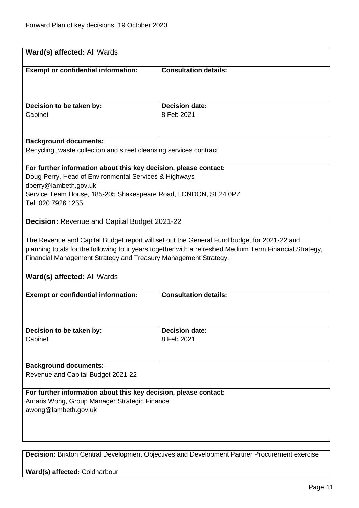<span id="page-10-0"></span>

| Ward(s) affected: All Wards                                                    |                                                                                                        |  |
|--------------------------------------------------------------------------------|--------------------------------------------------------------------------------------------------------|--|
| <b>Exempt or confidential information:</b>                                     | <b>Consultation details:</b>                                                                           |  |
|                                                                                |                                                                                                        |  |
|                                                                                |                                                                                                        |  |
| Decision to be taken by:<br>Cabinet                                            | <b>Decision date:</b><br>8 Feb 2021                                                                    |  |
|                                                                                |                                                                                                        |  |
| <b>Background documents:</b>                                                   |                                                                                                        |  |
| Recycling, waste collection and street cleansing services contract             |                                                                                                        |  |
| For further information about this key decision, please contact:               |                                                                                                        |  |
| Doug Perry, Head of Environmental Services & Highways<br>dperry@lambeth.gov.uk |                                                                                                        |  |
| Service Team House, 185-205 Shakespeare Road, LONDON, SE24 0PZ                 |                                                                                                        |  |
| Tel: 020 7926 1255                                                             |                                                                                                        |  |
| <b>Decision: Revenue and Capital Budget 2021-22</b>                            |                                                                                                        |  |
|                                                                                | The Revenue and Capital Budget report will set out the General Fund budget for 2021-22 and             |  |
|                                                                                | planning totals for the following four years together with a refreshed Medium Term Financial Strategy, |  |
| Financial Management Strategy and Treasury Management Strategy.                |                                                                                                        |  |
| Ward(s) affected: All Wards                                                    |                                                                                                        |  |
| <b>Exempt or confidential information:</b>                                     | <b>Consultation details:</b>                                                                           |  |
|                                                                                |                                                                                                        |  |
| Decision to be taken by:                                                       | <b>Decision date:</b>                                                                                  |  |
| Cabinet                                                                        | 8 Feb 2021                                                                                             |  |
|                                                                                |                                                                                                        |  |
| <b>Background documents:</b>                                                   |                                                                                                        |  |
| Revenue and Capital Budget 2021-22                                             |                                                                                                        |  |
| For further information about this key decision, please contact:               |                                                                                                        |  |
| Amaris Wong, Group Manager Strategic Finance<br>awong@lambeth.gov.uk           |                                                                                                        |  |
|                                                                                |                                                                                                        |  |
|                                                                                |                                                                                                        |  |
|                                                                                |                                                                                                        |  |

<span id="page-10-1"></span>**Decision:** Brixton Central Development Objectives and Development Partner Procurement exercise

**Ward(s) affected:** Coldharbour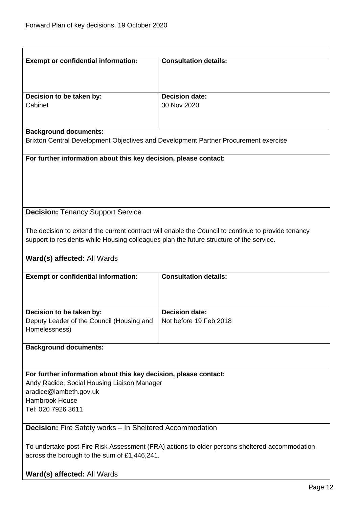<span id="page-11-1"></span><span id="page-11-0"></span>

| <b>Exempt or confidential information:</b>                                                    | <b>Consultation details:</b>                                                                       |  |
|-----------------------------------------------------------------------------------------------|----------------------------------------------------------------------------------------------------|--|
|                                                                                               |                                                                                                    |  |
| Decision to be taken by:                                                                      | <b>Decision date:</b>                                                                              |  |
| Cabinet                                                                                       | 30 Nov 2020                                                                                        |  |
|                                                                                               |                                                                                                    |  |
| <b>Background documents:</b>                                                                  |                                                                                                    |  |
| Brixton Central Development Objectives and Development Partner Procurement exercise           |                                                                                                    |  |
| For further information about this key decision, please contact:                              |                                                                                                    |  |
|                                                                                               |                                                                                                    |  |
|                                                                                               |                                                                                                    |  |
|                                                                                               |                                                                                                    |  |
| <b>Decision: Tenancy Support Service</b>                                                      |                                                                                                    |  |
|                                                                                               | The decision to extend the current contract will enable the Council to continue to provide tenancy |  |
| support to residents while Housing colleagues plan the future structure of the service.       |                                                                                                    |  |
| Ward(s) affected: All Wards                                                                   |                                                                                                    |  |
|                                                                                               |                                                                                                    |  |
| <b>Exempt or confidential information:</b>                                                    | <b>Consultation details:</b>                                                                       |  |
|                                                                                               |                                                                                                    |  |
|                                                                                               | <b>Decision date:</b>                                                                              |  |
| Decision to be taken by:<br>Deputy Leader of the Council (Housing and                         | Not before 19 Feb 2018                                                                             |  |
| Homelessness)                                                                                 |                                                                                                    |  |
| <b>Background documents:</b>                                                                  |                                                                                                    |  |
|                                                                                               |                                                                                                    |  |
| For further information about this key decision, please contact:                              |                                                                                                    |  |
| Andy Radice, Social Housing Liaison Manager                                                   |                                                                                                    |  |
| aradice@lambeth.gov.uk<br><b>Hambrook House</b>                                               |                                                                                                    |  |
| Tel: 020 7926 3611                                                                            |                                                                                                    |  |
| <b>Decision:</b> Fire Safety works - In Sheltered Accommodation                               |                                                                                                    |  |
|                                                                                               |                                                                                                    |  |
| To undertake post-Fire Risk Assessment (FRA) actions to older persons sheltered accommodation |                                                                                                    |  |
| across the borough to the sum of £1,446,241.                                                  |                                                                                                    |  |
| Ward(s) affected: All Wards                                                                   |                                                                                                    |  |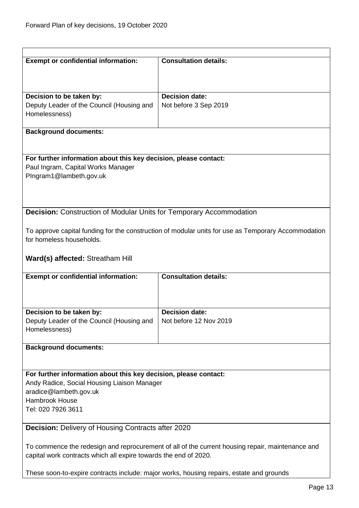<span id="page-12-1"></span><span id="page-12-0"></span>

| <b>Exempt or confidential information:</b>                                                       | <b>Consultation details:</b>                                                                        |
|--------------------------------------------------------------------------------------------------|-----------------------------------------------------------------------------------------------------|
|                                                                                                  |                                                                                                     |
|                                                                                                  |                                                                                                     |
| Decision to be taken by:                                                                         | <b>Decision date:</b>                                                                               |
| Deputy Leader of the Council (Housing and                                                        | Not before 3 Sep 2019                                                                               |
| Homelessness)                                                                                    |                                                                                                     |
|                                                                                                  |                                                                                                     |
| <b>Background documents:</b>                                                                     |                                                                                                     |
|                                                                                                  |                                                                                                     |
| For further information about this key decision, please contact:                                 |                                                                                                     |
| Paul Ingram, Capital Works Manager                                                               |                                                                                                     |
| PIngram1@lambeth.gov.uk                                                                          |                                                                                                     |
|                                                                                                  |                                                                                                     |
|                                                                                                  |                                                                                                     |
|                                                                                                  |                                                                                                     |
| <b>Decision:</b> Construction of Modular Units for Temporary Accommodation                       |                                                                                                     |
|                                                                                                  | To approve capital funding for the construction of modular units for use as Temporary Accommodation |
| for homeless households.                                                                         |                                                                                                     |
|                                                                                                  |                                                                                                     |
| Ward(s) affected: Streatham Hill                                                                 |                                                                                                     |
|                                                                                                  |                                                                                                     |
| <b>Exempt or confidential information:</b>                                                       | <b>Consultation details:</b>                                                                        |
|                                                                                                  |                                                                                                     |
|                                                                                                  |                                                                                                     |
|                                                                                                  |                                                                                                     |
| Decision to be taken by:                                                                         | <b>Decision date:</b>                                                                               |
| Deputy Leader of the Council (Housing and<br>Homelessness)                                       | Not before 12 Nov 2019                                                                              |
|                                                                                                  |                                                                                                     |
| <b>Background documents:</b>                                                                     |                                                                                                     |
|                                                                                                  |                                                                                                     |
|                                                                                                  |                                                                                                     |
| For further information about this key decision, please contact:                                 |                                                                                                     |
| Andy Radice, Social Housing Liaison Manager                                                      |                                                                                                     |
| aradice@lambeth.gov.uk                                                                           |                                                                                                     |
| <b>Hambrook House</b>                                                                            |                                                                                                     |
| Tel: 020 7926 3611                                                                               |                                                                                                     |
| <b>Decision: Delivery of Housing Contracts after 2020</b>                                        |                                                                                                     |
|                                                                                                  |                                                                                                     |
| To commence the redesign and reprocurement of all of the current housing repair, maintenance and |                                                                                                     |
| capital work contracts which all expire towards the end of 2020.                                 |                                                                                                     |
|                                                                                                  |                                                                                                     |
| These soon-to-expire contracts include: major works, housing repairs, estate and grounds         |                                                                                                     |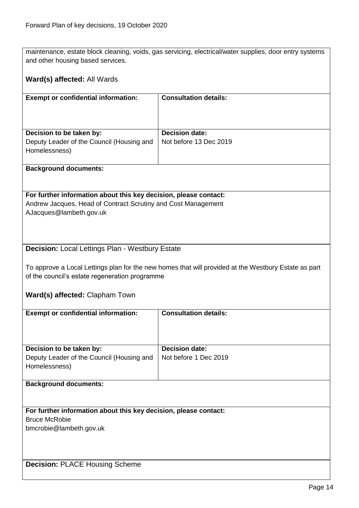maintenance, estate block cleaning, voids, gas servicing, electrical/water supplies, door entry systems and other housing based services.

### **Ward(s) affected:** All Wards

| <b>Exempt or confidential information:</b>                                             | <b>Consultation details:</b>                    |
|----------------------------------------------------------------------------------------|-------------------------------------------------|
| Decision to be taken by:<br>Deputy Leader of the Council (Housing and<br>Homelessness) | <b>Decision date:</b><br>Not before 13 Dec 2019 |
|                                                                                        |                                                 |

#### **Background documents:**

# **For further information about this key decision, please contact:**

Andrew Jacques, Head of Contract Scrutiny and Cost Management AJacques@lambeth.gov.uk

# <span id="page-13-0"></span>**Decision:** Local Lettings Plan - Westbury Estate

To approve a Local Lettings plan for the new homes that will provided at the Westbury Estate as part of the council's estate regeneration programme

#### **Ward(s) affected:** Clapham Town

<span id="page-13-1"></span>

| <b>Exempt or confidential information:</b>                       | <b>Consultation details:</b> |  |
|------------------------------------------------------------------|------------------------------|--|
|                                                                  |                              |  |
|                                                                  |                              |  |
|                                                                  |                              |  |
| Decision to be taken by:                                         | <b>Decision date:</b>        |  |
| Deputy Leader of the Council (Housing and                        | Not before 1 Dec 2019        |  |
| Homelessness)                                                    |                              |  |
|                                                                  |                              |  |
| <b>Background documents:</b>                                     |                              |  |
|                                                                  |                              |  |
|                                                                  |                              |  |
| For further information about this key decision, please contact: |                              |  |
| <b>Bruce McRobie</b>                                             |                              |  |
| bmcrobie@lambeth.gov.uk                                          |                              |  |
|                                                                  |                              |  |
|                                                                  |                              |  |
|                                                                  |                              |  |
| <b>Decision: PLACE Housing Scheme</b>                            |                              |  |
|                                                                  |                              |  |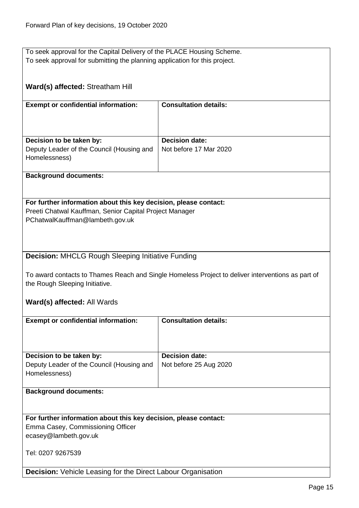<span id="page-14-1"></span><span id="page-14-0"></span>

| To seek approval for the Capital Delivery of the PLACE Housing Scheme.     |                                                                                                   |
|----------------------------------------------------------------------------|---------------------------------------------------------------------------------------------------|
| To seek approval for submitting the planning application for this project. |                                                                                                   |
|                                                                            |                                                                                                   |
|                                                                            |                                                                                                   |
| Ward(s) affected: Streatham Hill                                           |                                                                                                   |
|                                                                            |                                                                                                   |
|                                                                            | <b>Consultation details:</b>                                                                      |
| <b>Exempt or confidential information:</b>                                 |                                                                                                   |
|                                                                            |                                                                                                   |
|                                                                            |                                                                                                   |
|                                                                            |                                                                                                   |
| Decision to be taken by:                                                   | <b>Decision date:</b>                                                                             |
| Deputy Leader of the Council (Housing and                                  | Not before 17 Mar 2020                                                                            |
| Homelessness)                                                              |                                                                                                   |
|                                                                            |                                                                                                   |
| <b>Background documents:</b>                                               |                                                                                                   |
|                                                                            |                                                                                                   |
|                                                                            |                                                                                                   |
| For further information about this key decision, please contact:           |                                                                                                   |
| Preeti Chatwal Kauffman, Senior Capital Project Manager                    |                                                                                                   |
| PChatwalKauffman@lambeth.gov.uk                                            |                                                                                                   |
|                                                                            |                                                                                                   |
|                                                                            |                                                                                                   |
|                                                                            |                                                                                                   |
| <b>Decision: MHCLG Rough Sleeping Initiative Funding</b>                   |                                                                                                   |
|                                                                            |                                                                                                   |
|                                                                            | To award contacts to Thames Reach and Single Homeless Project to deliver interventions as part of |
| the Rough Sleeping Initiative.                                             |                                                                                                   |
|                                                                            |                                                                                                   |
| Ward(s) affected: All Wards                                                |                                                                                                   |
|                                                                            |                                                                                                   |
| <b>Exempt or confidential information:</b>                                 | <b>Consultation details:</b>                                                                      |
|                                                                            |                                                                                                   |
|                                                                            |                                                                                                   |
|                                                                            |                                                                                                   |
| Decision to be taken by:                                                   | <b>Decision date:</b>                                                                             |
| Deputy Leader of the Council (Housing and                                  | Not before 25 Aug 2020                                                                            |
| Homelessness)                                                              |                                                                                                   |
|                                                                            |                                                                                                   |
| <b>Background documents:</b>                                               |                                                                                                   |
|                                                                            |                                                                                                   |
|                                                                            |                                                                                                   |
|                                                                            |                                                                                                   |
| For further information about this key decision, please contact:           |                                                                                                   |
| Emma Casey, Commissioning Officer                                          |                                                                                                   |
| ecasey@lambeth.gov.uk                                                      |                                                                                                   |
|                                                                            |                                                                                                   |
| Tel: 0207 9267539                                                          |                                                                                                   |
|                                                                            |                                                                                                   |
| <b>Decision:</b> Vehicle Leasing for the Direct Labour Organisation        |                                                                                                   |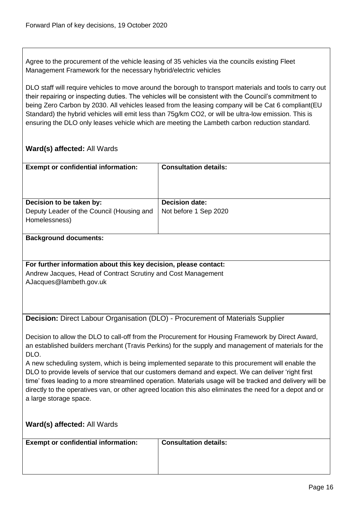Agree to the procurement of the vehicle leasing of 35 vehicles via the councils existing Fleet Management Framework for the necessary hybrid/electric vehicles

DLO staff will require vehicles to move around the borough to transport materials and tools to carry out their repairing or inspecting duties. The vehicles will be consistent with the Council's commitment to being Zero Carbon by 2030. All vehicles leased from the leasing company will be Cat 6 compliant(EU Standard) the hybrid vehicles will emit less than 75g/km CO2, or will be ultra-low emission. This is ensuring the DLO only leases vehicle which are meeting the Lambeth carbon reduction standard.

<span id="page-15-0"></span>

| <b>Exempt or confidential information:</b>                                                                                          | <b>Consultation details:</b>                                                                      |  |
|-------------------------------------------------------------------------------------------------------------------------------------|---------------------------------------------------------------------------------------------------|--|
|                                                                                                                                     |                                                                                                   |  |
|                                                                                                                                     |                                                                                                   |  |
| Decision to be taken by:                                                                                                            | <b>Decision date:</b>                                                                             |  |
| Deputy Leader of the Council (Housing and                                                                                           | Not before 1 Sep 2020                                                                             |  |
| Homelessness)                                                                                                                       |                                                                                                   |  |
| <b>Background documents:</b>                                                                                                        |                                                                                                   |  |
|                                                                                                                                     |                                                                                                   |  |
| For further information about this key decision, please contact:                                                                    |                                                                                                   |  |
| Andrew Jacques, Head of Contract Scrutiny and Cost Management                                                                       |                                                                                                   |  |
| AJacques@lambeth.gov.uk                                                                                                             |                                                                                                   |  |
|                                                                                                                                     |                                                                                                   |  |
|                                                                                                                                     |                                                                                                   |  |
| Decision: Direct Labour Organisation (DLO) - Procurement of Materials Supplier                                                      |                                                                                                   |  |
|                                                                                                                                     |                                                                                                   |  |
|                                                                                                                                     | Decision to allow the DLO to call-off from the Procurement for Housing Framework by Direct Award, |  |
| an established builders merchant (Travis Perkins) for the supply and management of materials for the<br>DLO.                        |                                                                                                   |  |
| A new scheduling system, which is being implemented separate to this procurement will enable the                                    |                                                                                                   |  |
| DLO to provide levels of service that our customers demand and expect. We can deliver 'right first                                  |                                                                                                   |  |
| time' fixes leading to a more streamlined operation. Materials usage will be tracked and delivery will be                           |                                                                                                   |  |
| directly to the operatives van, or other agreed location this also eliminates the need for a depot and or<br>a large storage space. |                                                                                                   |  |
|                                                                                                                                     |                                                                                                   |  |
|                                                                                                                                     |                                                                                                   |  |
| Ward(s) affected: All Wards                                                                                                         |                                                                                                   |  |
| <b>Exempt or confidential information:</b>                                                                                          | <b>Consultation details:</b>                                                                      |  |
|                                                                                                                                     |                                                                                                   |  |
|                                                                                                                                     |                                                                                                   |  |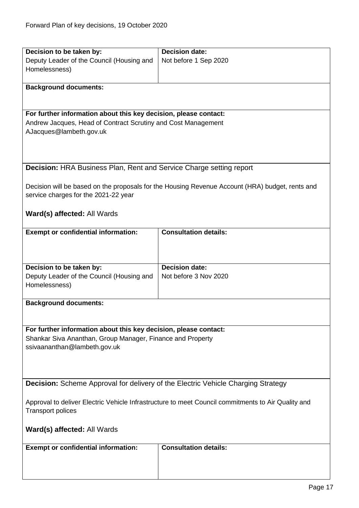<span id="page-16-1"></span><span id="page-16-0"></span>

| Decision to be taken by:                                                                           | Decision date:                                                                                  |
|----------------------------------------------------------------------------------------------------|-------------------------------------------------------------------------------------------------|
| Deputy Leader of the Council (Housing and                                                          | Not before 1 Sep 2020                                                                           |
| Homelessness)                                                                                      |                                                                                                 |
|                                                                                                    |                                                                                                 |
| <b>Background documents:</b>                                                                       |                                                                                                 |
|                                                                                                    |                                                                                                 |
|                                                                                                    |                                                                                                 |
| For further information about this key decision, please contact:                                   |                                                                                                 |
| Andrew Jacques, Head of Contract Scrutiny and Cost Management                                      |                                                                                                 |
| AJacques@lambeth.gov.uk                                                                            |                                                                                                 |
|                                                                                                    |                                                                                                 |
|                                                                                                    |                                                                                                 |
|                                                                                                    |                                                                                                 |
| <b>Decision: HRA Business Plan, Rent and Service Charge setting report</b>                         |                                                                                                 |
|                                                                                                    |                                                                                                 |
|                                                                                                    | Decision will be based on the proposals for the Housing Revenue Account (HRA) budget, rents and |
| service charges for the 2021-22 year                                                               |                                                                                                 |
|                                                                                                    |                                                                                                 |
|                                                                                                    |                                                                                                 |
| Ward(s) affected: All Wards                                                                        |                                                                                                 |
|                                                                                                    | <b>Consultation details:</b>                                                                    |
| <b>Exempt or confidential information:</b>                                                         |                                                                                                 |
|                                                                                                    |                                                                                                 |
|                                                                                                    |                                                                                                 |
|                                                                                                    | <b>Decision date:</b>                                                                           |
| Decision to be taken by:                                                                           |                                                                                                 |
| Deputy Leader of the Council (Housing and                                                          | Not before 3 Nov 2020                                                                           |
| Homelessness)                                                                                      |                                                                                                 |
|                                                                                                    |                                                                                                 |
| <b>Background documents:</b>                                                                       |                                                                                                 |
|                                                                                                    |                                                                                                 |
|                                                                                                    |                                                                                                 |
| For further information about this key decision, please contact:                                   |                                                                                                 |
| Shankar Siva Ananthan, Group Manager, Finance and Property                                         |                                                                                                 |
| ssivaananthan@lambeth.gov.uk                                                                       |                                                                                                 |
|                                                                                                    |                                                                                                 |
|                                                                                                    |                                                                                                 |
|                                                                                                    |                                                                                                 |
| <b>Decision:</b> Scheme Approval for delivery of the Electric Vehicle Charging Strategy            |                                                                                                 |
|                                                                                                    |                                                                                                 |
| Approval to deliver Electric Vehicle Infrastructure to meet Council commitments to Air Quality and |                                                                                                 |
| <b>Transport polices</b>                                                                           |                                                                                                 |
|                                                                                                    |                                                                                                 |
| <b>Ward(s) affected: All Wards</b>                                                                 |                                                                                                 |
|                                                                                                    |                                                                                                 |
| <b>Exempt or confidential information:</b>                                                         | <b>Consultation details:</b>                                                                    |
|                                                                                                    |                                                                                                 |
|                                                                                                    |                                                                                                 |
|                                                                                                    |                                                                                                 |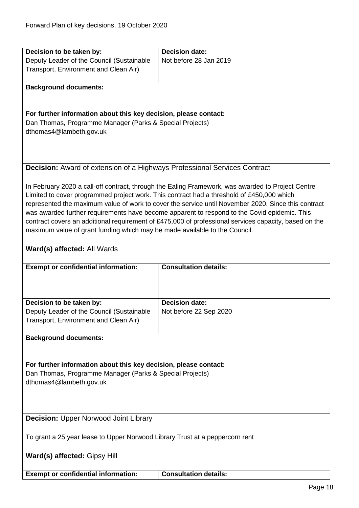<span id="page-17-1"></span><span id="page-17-0"></span>

| Decision to be taken by:                                                         | <b>Decision date:</b>                                                                                 |
|----------------------------------------------------------------------------------|-------------------------------------------------------------------------------------------------------|
| Deputy Leader of the Council (Sustainable                                        | Not before 28 Jan 2019                                                                                |
| Transport, Environment and Clean Air)                                            |                                                                                                       |
|                                                                                  |                                                                                                       |
| <b>Background documents:</b>                                                     |                                                                                                       |
|                                                                                  |                                                                                                       |
|                                                                                  |                                                                                                       |
| For further information about this key decision, please contact:                 |                                                                                                       |
| Dan Thomas, Programme Manager (Parks & Special Projects)                         |                                                                                                       |
| dthomas4@lambeth.gov.uk                                                          |                                                                                                       |
|                                                                                  |                                                                                                       |
|                                                                                  |                                                                                                       |
|                                                                                  |                                                                                                       |
| <b>Decision:</b> Award of extension of a Highways Professional Services Contract |                                                                                                       |
|                                                                                  |                                                                                                       |
|                                                                                  | In February 2020 a call-off contract, through the Ealing Framework, was awarded to Project Centre     |
|                                                                                  | Limited to cover programmed project work. This contract had a threshold of £450,000 which             |
|                                                                                  | represented the maximum value of work to cover the service until November 2020. Since this contract   |
|                                                                                  | was awarded further requirements have become apparent to respond to the Covid epidemic. This          |
|                                                                                  | contract covers an additional requirement of £475,000 of professional services capacity, based on the |
| maximum value of grant funding which may be made available to the Council.       |                                                                                                       |
|                                                                                  |                                                                                                       |
| Ward(s) affected: All Wards                                                      |                                                                                                       |
|                                                                                  |                                                                                                       |
| <b>Exempt or confidential information:</b>                                       | <b>Consultation details:</b>                                                                          |
|                                                                                  |                                                                                                       |
|                                                                                  |                                                                                                       |
|                                                                                  |                                                                                                       |
| Decision to be taken by:                                                         | <b>Decision date:</b>                                                                                 |
| Deputy Leader of the Council (Sustainable                                        | Not before 22 Sep 2020                                                                                |
| Transport, Environment and Clean Air)                                            |                                                                                                       |
|                                                                                  |                                                                                                       |
| <b>Background documents:</b>                                                     |                                                                                                       |
|                                                                                  |                                                                                                       |
|                                                                                  |                                                                                                       |
| For further information about this key decision, please contact:                 |                                                                                                       |
| Dan Thomas, Programme Manager (Parks & Special Projects)                         |                                                                                                       |
| dthomas4@lambeth.gov.uk                                                          |                                                                                                       |
|                                                                                  |                                                                                                       |
|                                                                                  |                                                                                                       |
|                                                                                  |                                                                                                       |
| <b>Decision: Upper Norwood Joint Library</b>                                     |                                                                                                       |
|                                                                                  |                                                                                                       |
| To grant a 25 year lease to Upper Norwood Library Trust at a peppercorn rent     |                                                                                                       |
|                                                                                  |                                                                                                       |
| Ward(s) affected: Gipsy Hill                                                     |                                                                                                       |
|                                                                                  |                                                                                                       |
| <b>Exempt or confidential information:</b>                                       | <b>Consultation details:</b>                                                                          |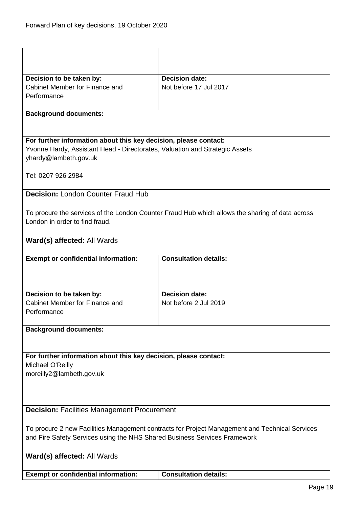<span id="page-18-1"></span><span id="page-18-0"></span>

| Decision to be taken by:<br>Cabinet Member for Finance and                                           | <b>Decision date:</b><br>Not before 17 Jul 2017                                                 |
|------------------------------------------------------------------------------------------------------|-------------------------------------------------------------------------------------------------|
| Performance                                                                                          |                                                                                                 |
|                                                                                                      |                                                                                                 |
| <b>Background documents:</b>                                                                         |                                                                                                 |
|                                                                                                      |                                                                                                 |
|                                                                                                      |                                                                                                 |
| For further information about this key decision, please contact:                                     |                                                                                                 |
| Yvonne Hardy, Assistant Head - Directorates, Valuation and Strategic Assets<br>yhardy@lambeth.gov.uk |                                                                                                 |
|                                                                                                      |                                                                                                 |
| Tel: 0207 926 2984                                                                                   |                                                                                                 |
|                                                                                                      |                                                                                                 |
| <b>Decision: London Counter Fraud Hub</b>                                                            |                                                                                                 |
|                                                                                                      |                                                                                                 |
|                                                                                                      | To procure the services of the London Counter Fraud Hub which allows the sharing of data across |
| London in order to find fraud.                                                                       |                                                                                                 |
|                                                                                                      |                                                                                                 |
| Ward(s) affected: All Wards                                                                          |                                                                                                 |
| <b>Exempt or confidential information:</b>                                                           | <b>Consultation details:</b>                                                                    |
|                                                                                                      |                                                                                                 |
|                                                                                                      |                                                                                                 |
|                                                                                                      |                                                                                                 |
| Decision to be taken by:                                                                             | <b>Decision date:</b>                                                                           |
| Cabinet Member for Finance and                                                                       | Not before 2 Jul 2019                                                                           |
| Performance                                                                                          |                                                                                                 |
| <b>Background documents:</b>                                                                         |                                                                                                 |
|                                                                                                      |                                                                                                 |
|                                                                                                      |                                                                                                 |
| For further information about this key decision, please contact:                                     |                                                                                                 |
| Michael O'Reilly                                                                                     |                                                                                                 |
| moreilly2@lambeth.gov.uk                                                                             |                                                                                                 |
|                                                                                                      |                                                                                                 |
|                                                                                                      |                                                                                                 |
| <b>Decision: Facilities Management Procurement</b>                                                   |                                                                                                 |
|                                                                                                      |                                                                                                 |
| To procure 2 new Facilities Management contracts for Project Management and Technical Services       |                                                                                                 |
| and Fire Safety Services using the NHS Shared Business Services Framework                            |                                                                                                 |
|                                                                                                      |                                                                                                 |
| Ward(s) affected: All Wards                                                                          |                                                                                                 |
|                                                                                                      |                                                                                                 |
| <b>Exempt or confidential information:</b>                                                           | <b>Consultation details:</b>                                                                    |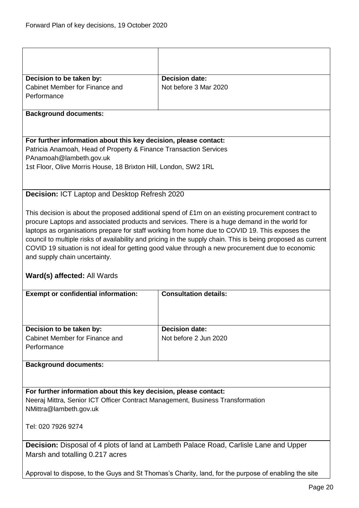<span id="page-19-1"></span><span id="page-19-0"></span>

| Decision to be taken by:                                                                             | <b>Decision date:</b>                                                                                                                                                                                            |  |
|------------------------------------------------------------------------------------------------------|------------------------------------------------------------------------------------------------------------------------------------------------------------------------------------------------------------------|--|
| Cabinet Member for Finance and                                                                       | Not before 3 Mar 2020                                                                                                                                                                                            |  |
| Performance                                                                                          |                                                                                                                                                                                                                  |  |
| <b>Background documents:</b>                                                                         |                                                                                                                                                                                                                  |  |
|                                                                                                      |                                                                                                                                                                                                                  |  |
| For further information about this key decision, please contact:                                     |                                                                                                                                                                                                                  |  |
| Patricia Anamoah, Head of Property & Finance Transaction Services                                    |                                                                                                                                                                                                                  |  |
| PAnamoah@lambeth.gov.uk                                                                              |                                                                                                                                                                                                                  |  |
| 1st Floor, Olive Morris House, 18 Brixton Hill, London, SW2 1RL                                      |                                                                                                                                                                                                                  |  |
|                                                                                                      |                                                                                                                                                                                                                  |  |
| Decision: ICT Laptop and Desktop Refresh 2020                                                        |                                                                                                                                                                                                                  |  |
|                                                                                                      | This decision is about the proposed additional spend of £1m on an existing procurement contract to                                                                                                               |  |
|                                                                                                      | procure Laptops and associated products and services. There is a huge demand in the world for                                                                                                                    |  |
|                                                                                                      | laptops as organisations prepare for staff working from home due to COVID 19. This exposes the                                                                                                                   |  |
|                                                                                                      | council to multiple risks of availability and pricing in the supply chain. This is being proposed as current<br>COVID 19 situation is not ideal for getting good value through a new procurement due to economic |  |
| and supply chain uncertainty.                                                                        |                                                                                                                                                                                                                  |  |
|                                                                                                      |                                                                                                                                                                                                                  |  |
| Ward(s) affected: All Wards                                                                          |                                                                                                                                                                                                                  |  |
|                                                                                                      |                                                                                                                                                                                                                  |  |
| <b>Exempt or confidential information:</b>                                                           | <b>Consultation details:</b>                                                                                                                                                                                     |  |
|                                                                                                      |                                                                                                                                                                                                                  |  |
|                                                                                                      |                                                                                                                                                                                                                  |  |
| Decision to be taken by:                                                                             | <b>Decision date:</b>                                                                                                                                                                                            |  |
| Cabinet Member for Finance and                                                                       | Not before 2 Jun 2020                                                                                                                                                                                            |  |
| Performance                                                                                          |                                                                                                                                                                                                                  |  |
| <b>Background documents:</b>                                                                         |                                                                                                                                                                                                                  |  |
|                                                                                                      |                                                                                                                                                                                                                  |  |
| For further information about this key decision, please contact:                                     |                                                                                                                                                                                                                  |  |
| Neeraj Mittra, Senior ICT Officer Contract Management, Business Transformation                       |                                                                                                                                                                                                                  |  |
| NMittra@lambeth.gov.uk                                                                               |                                                                                                                                                                                                                  |  |
| Tel: 020 7926 9274                                                                                   |                                                                                                                                                                                                                  |  |
|                                                                                                      |                                                                                                                                                                                                                  |  |
| Decision: Disposal of 4 plots of land at Lambeth Palace Road, Carlisle Lane and Upper                |                                                                                                                                                                                                                  |  |
| Marsh and totalling 0.217 acres                                                                      |                                                                                                                                                                                                                  |  |
| Approval to dispose, to the Guys and St Thomas's Charity, land, for the purpose of enabling the site |                                                                                                                                                                                                                  |  |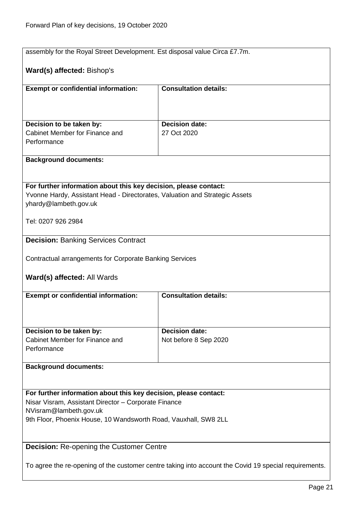<span id="page-20-1"></span><span id="page-20-0"></span>

| assembly for the Royal Street Development. Est disposal value Circa £7.7m.                            |                                                |  |
|-------------------------------------------------------------------------------------------------------|------------------------------------------------|--|
| Ward(s) affected: Bishop's                                                                            |                                                |  |
| <b>Exempt or confidential information:</b>                                                            | <b>Consultation details:</b>                   |  |
|                                                                                                       |                                                |  |
|                                                                                                       |                                                |  |
| Decision to be taken by:<br>Cabinet Member for Finance and                                            | <b>Decision date:</b><br>27 Oct 2020           |  |
| Performance                                                                                           |                                                |  |
|                                                                                                       |                                                |  |
| <b>Background documents:</b>                                                                          |                                                |  |
|                                                                                                       |                                                |  |
| For further information about this key decision, please contact:                                      |                                                |  |
| Yvonne Hardy, Assistant Head - Directorates, Valuation and Strategic Assets<br>yhardy@lambeth.gov.uk  |                                                |  |
|                                                                                                       |                                                |  |
| Tel: 0207 926 2984                                                                                    |                                                |  |
| <b>Decision: Banking Services Contract</b>                                                            |                                                |  |
|                                                                                                       |                                                |  |
| Contractual arrangements for Corporate Banking Services                                               |                                                |  |
| Ward(s) affected: All Wards                                                                           |                                                |  |
|                                                                                                       |                                                |  |
| <b>Exempt or confidential information:</b>                                                            | <b>Consultation details:</b>                   |  |
|                                                                                                       |                                                |  |
|                                                                                                       |                                                |  |
| Decision to be taken by:<br>Cabinet Member for Finance and                                            | <b>Decision date:</b><br>Not before 8 Sep 2020 |  |
| Performance                                                                                           |                                                |  |
|                                                                                                       |                                                |  |
| <b>Background documents:</b>                                                                          |                                                |  |
|                                                                                                       |                                                |  |
| For further information about this key decision, please contact:                                      |                                                |  |
| Nisar Visram, Assistant Director - Corporate Finance<br>NVisram@lambeth.gov.uk                        |                                                |  |
| 9th Floor, Phoenix House, 10 Wandsworth Road, Vauxhall, SW8 2LL                                       |                                                |  |
|                                                                                                       |                                                |  |
| <b>Decision: Re-opening the Customer Centre</b>                                                       |                                                |  |
|                                                                                                       |                                                |  |
| To agree the re-opening of the customer centre taking into account the Covid 19 special requirements. |                                                |  |
|                                                                                                       |                                                |  |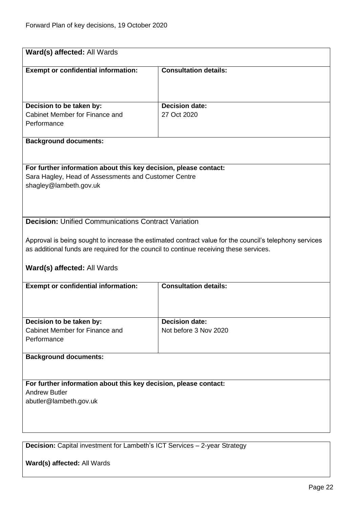<span id="page-21-1"></span><span id="page-21-0"></span>

| Ward(s) affected: All Wards                                                            |                                                                                                        |  |  |
|----------------------------------------------------------------------------------------|--------------------------------------------------------------------------------------------------------|--|--|
| <b>Exempt or confidential information:</b>                                             | <b>Consultation details:</b>                                                                           |  |  |
|                                                                                        |                                                                                                        |  |  |
|                                                                                        |                                                                                                        |  |  |
| Decision to be taken by:                                                               | <b>Decision date:</b>                                                                                  |  |  |
| Cabinet Member for Finance and<br>Performance                                          | 27 Oct 2020                                                                                            |  |  |
|                                                                                        |                                                                                                        |  |  |
| <b>Background documents:</b>                                                           |                                                                                                        |  |  |
| For further information about this key decision, please contact:                       |                                                                                                        |  |  |
| Sara Hagley, Head of Assessments and Customer Centre                                   |                                                                                                        |  |  |
| shagley@lambeth.gov.uk                                                                 |                                                                                                        |  |  |
|                                                                                        |                                                                                                        |  |  |
|                                                                                        |                                                                                                        |  |  |
| <b>Decision:</b> Unified Communications Contract Variation                             |                                                                                                        |  |  |
|                                                                                        |                                                                                                        |  |  |
|                                                                                        | Approval is being sought to increase the estimated contract value for the council's telephony services |  |  |
| as additional funds are required for the council to continue receiving these services. |                                                                                                        |  |  |
|                                                                                        |                                                                                                        |  |  |
| Ward(s) affected: All Wards                                                            |                                                                                                        |  |  |
| <b>Exempt or confidential information:</b>                                             | <b>Consultation details:</b>                                                                           |  |  |
|                                                                                        |                                                                                                        |  |  |
|                                                                                        |                                                                                                        |  |  |
|                                                                                        |                                                                                                        |  |  |
| Decision to be taken by:                                                               | <b>Decision date:</b>                                                                                  |  |  |
| Cabinet Member for Finance and                                                         | Not before 3 Nov 2020                                                                                  |  |  |
| Performance                                                                            |                                                                                                        |  |  |
| <b>Background documents:</b>                                                           |                                                                                                        |  |  |
|                                                                                        |                                                                                                        |  |  |
| For further information about this key decision, please contact:                       |                                                                                                        |  |  |
| <b>Andrew Butler</b>                                                                   |                                                                                                        |  |  |
| abutler@lambeth.gov.uk                                                                 |                                                                                                        |  |  |
|                                                                                        |                                                                                                        |  |  |
|                                                                                        |                                                                                                        |  |  |
|                                                                                        |                                                                                                        |  |  |
|                                                                                        |                                                                                                        |  |  |
| Decision: Capital investment for Lambeth's ICT Services - 2-year Strategy              |                                                                                                        |  |  |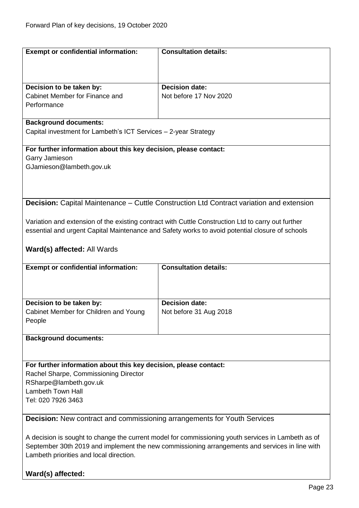<span id="page-22-1"></span><span id="page-22-0"></span>

| <b>Exempt or confidential information:</b>                                      | <b>Consultation details:</b>                                                                       |  |
|---------------------------------------------------------------------------------|----------------------------------------------------------------------------------------------------|--|
|                                                                                 |                                                                                                    |  |
|                                                                                 |                                                                                                    |  |
|                                                                                 |                                                                                                    |  |
| Decision to be taken by:                                                        | <b>Decision date:</b>                                                                              |  |
| Cabinet Member for Finance and                                                  | Not before 17 Nov 2020                                                                             |  |
| Performance                                                                     |                                                                                                    |  |
|                                                                                 |                                                                                                    |  |
| <b>Background documents:</b>                                                    |                                                                                                    |  |
| Capital investment for Lambeth's ICT Services - 2-year Strategy                 |                                                                                                    |  |
|                                                                                 |                                                                                                    |  |
| For further information about this key decision, please contact:                |                                                                                                    |  |
| Garry Jamieson                                                                  |                                                                                                    |  |
| GJamieson@lambeth.gov.uk                                                        |                                                                                                    |  |
|                                                                                 |                                                                                                    |  |
|                                                                                 |                                                                                                    |  |
|                                                                                 |                                                                                                    |  |
|                                                                                 |                                                                                                    |  |
|                                                                                 | Decision: Capital Maintenance - Cuttle Construction Ltd Contract variation and extension           |  |
|                                                                                 |                                                                                                    |  |
|                                                                                 | Variation and extension of the existing contract with Cuttle Construction Ltd to carry out further |  |
|                                                                                 | essential and urgent Capital Maintenance and Safety works to avoid potential closure of schools    |  |
|                                                                                 |                                                                                                    |  |
| Ward(s) affected: All Wards                                                     |                                                                                                    |  |
|                                                                                 |                                                                                                    |  |
| <b>Exempt or confidential information:</b>                                      | <b>Consultation details:</b>                                                                       |  |
|                                                                                 |                                                                                                    |  |
|                                                                                 |                                                                                                    |  |
|                                                                                 |                                                                                                    |  |
| Decision to be taken by:                                                        | <b>Decision date:</b>                                                                              |  |
| Cabinet Member for Children and Young                                           | Not before 31 Aug 2018                                                                             |  |
| People                                                                          |                                                                                                    |  |
|                                                                                 |                                                                                                    |  |
| <b>Background documents:</b>                                                    |                                                                                                    |  |
|                                                                                 |                                                                                                    |  |
|                                                                                 |                                                                                                    |  |
| For further information about this key decision, please contact:                |                                                                                                    |  |
| Rachel Sharpe, Commissioning Director                                           |                                                                                                    |  |
| RSharpe@lambeth.gov.uk                                                          |                                                                                                    |  |
| <b>Lambeth Town Hall</b>                                                        |                                                                                                    |  |
| Tel: 020 7926 3463                                                              |                                                                                                    |  |
|                                                                                 |                                                                                                    |  |
| <b>Decision:</b> New contract and commissioning arrangements for Youth Services |                                                                                                    |  |
|                                                                                 |                                                                                                    |  |
|                                                                                 |                                                                                                    |  |
|                                                                                 |                                                                                                    |  |
|                                                                                 | A decision is sought to change the current model for commissioning youth services in Lambeth as of |  |
|                                                                                 | September 30th 2019 and implement the new commissioning arrangements and services in line with     |  |
| Lambeth priorities and local direction.                                         |                                                                                                    |  |
| Ward(s) affected:                                                               |                                                                                                    |  |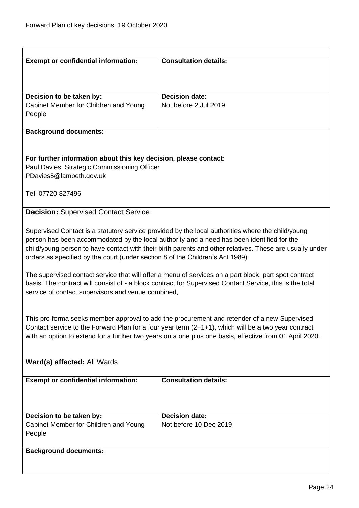<span id="page-23-0"></span>

| <b>Exempt or confidential information:</b>                                                          | <b>Consultation details:</b>                                                                                                                                                                           |  |
|-----------------------------------------------------------------------------------------------------|--------------------------------------------------------------------------------------------------------------------------------------------------------------------------------------------------------|--|
|                                                                                                     |                                                                                                                                                                                                        |  |
| Decision to be taken by:                                                                            | <b>Decision date:</b>                                                                                                                                                                                  |  |
| Cabinet Member for Children and Young                                                               | Not before 2 Jul 2019                                                                                                                                                                                  |  |
| People                                                                                              |                                                                                                                                                                                                        |  |
| <b>Background documents:</b>                                                                        |                                                                                                                                                                                                        |  |
|                                                                                                     |                                                                                                                                                                                                        |  |
| For further information about this key decision, please contact:                                    |                                                                                                                                                                                                        |  |
| Paul Davies, Strategic Commissioning Officer<br>PDavies5@lambeth.gov.uk                             |                                                                                                                                                                                                        |  |
|                                                                                                     |                                                                                                                                                                                                        |  |
| Tel: 07720 827496                                                                                   |                                                                                                                                                                                                        |  |
| <b>Decision: Supervised Contact Service</b>                                                         |                                                                                                                                                                                                        |  |
|                                                                                                     |                                                                                                                                                                                                        |  |
|                                                                                                     | Supervised Contact is a statutory service provided by the local authorities where the child/young                                                                                                      |  |
|                                                                                                     | person has been accommodated by the local authority and a need has been identified for the<br>child/young person to have contact with their birth parents and other relatives. These are usually under |  |
| orders as specified by the court (under section 8 of the Children's Act 1989).                      |                                                                                                                                                                                                        |  |
|                                                                                                     | The supervised contact service that will offer a menu of services on a part block, part spot contract                                                                                                  |  |
|                                                                                                     | basis. The contract will consist of - a block contract for Supervised Contact Service, this is the total                                                                                               |  |
| service of contact supervisors and venue combined,                                                  |                                                                                                                                                                                                        |  |
|                                                                                                     |                                                                                                                                                                                                        |  |
| This pro-forma seeks member approval to add the procurement and retender of a new Supervised        |                                                                                                                                                                                                        |  |
| Contact service to the Forward Plan for a four year term (2+1+1), which will be a two year contract |                                                                                                                                                                                                        |  |
|                                                                                                     | with an option to extend for a further two years on a one plus one basis, effective from 01 April 2020.                                                                                                |  |
|                                                                                                     |                                                                                                                                                                                                        |  |
| Ward(s) affected: All Wards                                                                         |                                                                                                                                                                                                        |  |
| <b>Exempt or confidential information:</b>                                                          | <b>Consultation details:</b>                                                                                                                                                                           |  |
|                                                                                                     |                                                                                                                                                                                                        |  |
|                                                                                                     |                                                                                                                                                                                                        |  |
| Decision to be taken by:                                                                            | <b>Decision date:</b>                                                                                                                                                                                  |  |
| Cabinet Member for Children and Young<br>People                                                     | Not before 10 Dec 2019                                                                                                                                                                                 |  |
|                                                                                                     |                                                                                                                                                                                                        |  |
| <b>Background documents:</b>                                                                        |                                                                                                                                                                                                        |  |
|                                                                                                     |                                                                                                                                                                                                        |  |
|                                                                                                     |                                                                                                                                                                                                        |  |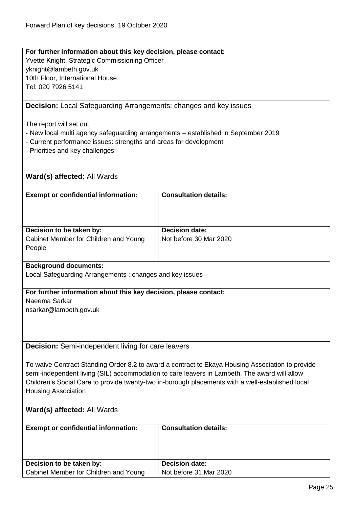# **For further information about this key decision, please contact:** Yvette Knight, Strategic Commissioning Officer yknight@lambeth.gov.uk 10th Floor, International House Tel: 020 7926 5141 **Decision:** Local Safeguarding Arrangements: changes and key issues The report will set out: - New local multi agency safeguarding arrangements – established in September 2019 - Current performance issues: strengths and areas for development - Priorities and key challenges

# <span id="page-24-0"></span>**Ward(s) affected:** All Wards

| <b>Exempt or confidential information:</b> | <b>Consultation details:</b> |
|--------------------------------------------|------------------------------|
| Decision to be taken by:                   | <b>Decision date:</b>        |
| Cabinet Member for Children and Young      | Not before 30 Mar 2020       |
| People                                     |                              |

#### **Background documents:**

Local Safeguarding Arrangements : changes and key issues

#### **For further information about this key decision, please contact:**

Naeema Sarkar

nsarkar@lambeth.gov.uk

# <span id="page-24-1"></span>**Decision:** Semi-independent living for care leavers

To waive Contract Standing Order 8.2 to award a contract to Ekaya Housing Association to provide semi-independent living (SIL) accommodation to care leavers in Lambeth. The award will allow Children's Social Care to provide twenty-two in-borough placements with a well-established local Housing Association

| <b>Exempt or confidential information:</b> | <b>Consultation details:</b> |
|--------------------------------------------|------------------------------|
|                                            |                              |
| Decision to be taken by:                   | <b>Decision date:</b>        |
| Cabinet Member for Children and Young      | Not before 31 Mar 2020       |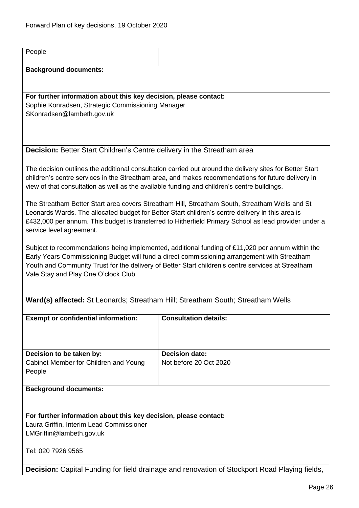<span id="page-25-0"></span>

| People                                                                                                                                                                                                                                                                                                                                         |                                                                                               |  |
|------------------------------------------------------------------------------------------------------------------------------------------------------------------------------------------------------------------------------------------------------------------------------------------------------------------------------------------------|-----------------------------------------------------------------------------------------------|--|
| <b>Background documents:</b>                                                                                                                                                                                                                                                                                                                   |                                                                                               |  |
|                                                                                                                                                                                                                                                                                                                                                |                                                                                               |  |
| For further information about this key decision, please contact:<br>Sophie Konradsen, Strategic Commissioning Manager                                                                                                                                                                                                                          |                                                                                               |  |
| SKonradsen@lambeth.gov.uk                                                                                                                                                                                                                                                                                                                      |                                                                                               |  |
|                                                                                                                                                                                                                                                                                                                                                |                                                                                               |  |
| <b>Decision: Better Start Children's Centre delivery in the Streatham area</b>                                                                                                                                                                                                                                                                 |                                                                                               |  |
|                                                                                                                                                                                                                                                                                                                                                |                                                                                               |  |
| The decision outlines the additional consultation carried out around the delivery sites for Better Start<br>children's centre services in the Streatham area, and makes recommendations for future delivery in<br>view of that consultation as well as the available funding and children's centre buildings.                                  |                                                                                               |  |
| The Streatham Better Start area covers Streatham Hill, Streatham South, Streatham Wells and St<br>Leonards Wards. The allocated budget for Better Start children's centre delivery in this area is<br>£432,000 per annum. This budget is transferred to Hitherfield Primary School as lead provider under a<br>service level agreement.        |                                                                                               |  |
| Subject to recommendations being implemented, additional funding of £11,020 per annum within the<br>Early Years Commissioning Budget will fund a direct commissioning arrangement with Streatham<br>Youth and Community Trust for the delivery of Better Start children's centre services at Streatham<br>Vale Stay and Play One O'clock Club. |                                                                                               |  |
| Ward(s) affected: St Leonards; Streatham Hill; Streatham South; Streatham Wells                                                                                                                                                                                                                                                                |                                                                                               |  |
| <b>Exempt or confidential information:</b>                                                                                                                                                                                                                                                                                                     | <b>Consultation details:</b>                                                                  |  |
|                                                                                                                                                                                                                                                                                                                                                |                                                                                               |  |
| Decision to be taken by:                                                                                                                                                                                                                                                                                                                       | <b>Decision date:</b>                                                                         |  |
| Cabinet Member for Children and Young<br>People                                                                                                                                                                                                                                                                                                | Not before 20 Oct 2020                                                                        |  |
| <b>Background documents:</b>                                                                                                                                                                                                                                                                                                                   |                                                                                               |  |
|                                                                                                                                                                                                                                                                                                                                                |                                                                                               |  |
| For further information about this key decision, please contact:                                                                                                                                                                                                                                                                               |                                                                                               |  |
| Laura Griffin, Interim Lead Commissioner<br>LMGriffin@lambeth.gov.uk                                                                                                                                                                                                                                                                           |                                                                                               |  |
| Tel: 020 7926 9565                                                                                                                                                                                                                                                                                                                             |                                                                                               |  |
|                                                                                                                                                                                                                                                                                                                                                | Decision: Capital Funding for field drainage and renovation of Stockport Road Playing fields, |  |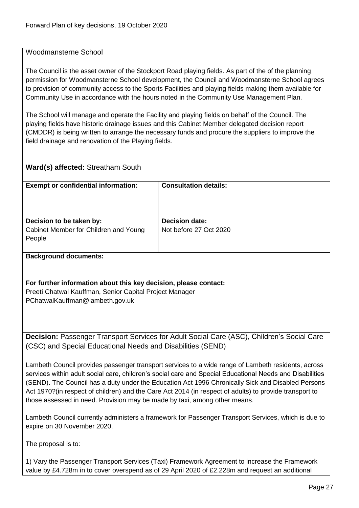# <span id="page-26-0"></span>Woodmansterne School

The Council is the asset owner of the Stockport Road playing fields. As part of the of the planning permission for Woodmansterne School development, the Council and Woodmansterne School agrees to provision of community access to the Sports Facilities and playing fields making them available for Community Use in accordance with the hours noted in the Community Use Management Plan.

The School will manage and operate the Facility and playing fields on behalf of the Council. The playing fields have historic drainage issues and this Cabinet Member delegated decision report (CMDDR) is being written to arrange the necessary funds and procure the suppliers to improve the field drainage and renovation of the Playing fields.

# **Ward(s) affected:** Streatham South

| <b>Exempt or confidential information:</b> | <b>Consultation details:</b> |
|--------------------------------------------|------------------------------|
| Decision to be taken by:                   | <b>Decision date:</b>        |
| Cabinet Member for Children and Young      | Not before 27 Oct 2020       |
| People                                     |                              |
|                                            |                              |

#### **Background documents:**

**For further information about this key decision, please contact:** Preeti Chatwal Kauffman, Senior Capital Project Manager PChatwalKauffman@lambeth.gov.uk

<span id="page-26-1"></span>**Decision:** Passenger Transport Services for Adult Social Care (ASC), Children's Social Care (CSC) and Special Educational Needs and Disabilities (SEND)

Lambeth Council provides passenger transport services to a wide range of Lambeth residents, across services within adult social care, children's social care and Special Educational Needs and Disabilities (SEND). The Council has a duty under the Education Act 1996 Chronically Sick and Disabled Persons Act 1970?(in respect of children) and the Care Act 2014 (in respect of adults) to provide transport to those assessed in need. Provision may be made by taxi, among other means.

Lambeth Council currently administers a framework for Passenger Transport Services, which is due to expire on 30 November 2020.

The proposal is to:

1) Vary the Passenger Transport Services (Taxi) Framework Agreement to increase the Framework value by £4.728m in to cover overspend as of 29 April 2020 of £2.228m and request an additional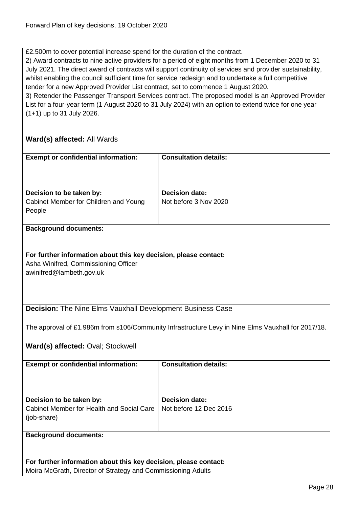£2.500m to cover potential increase spend for the duration of the contract.

2) Award contracts to nine active providers for a period of eight months from 1 December 2020 to 31 July 2021. The direct award of contracts will support continuity of services and provider sustainability, whilst enabling the council sufficient time for service redesign and to undertake a full competitive tender for a new Approved Provider List contract, set to commence 1 August 2020. 3) Retender the Passenger Transport Services contract. The proposed model is an Approved Provider

List for a four-year term (1 August 2020 to 31 July 2024) with an option to extend twice for one year (1+1) up to 31 July 2026.

<span id="page-27-0"></span>

| <b>Exempt or confidential information:</b>                                                               | <b>Consultation details:</b>                                                                       |
|----------------------------------------------------------------------------------------------------------|----------------------------------------------------------------------------------------------------|
|                                                                                                          |                                                                                                    |
|                                                                                                          |                                                                                                    |
| Decision to be taken by:                                                                                 | <b>Decision date:</b>                                                                              |
| Cabinet Member for Children and Young                                                                    | Not before 3 Nov 2020                                                                              |
| People                                                                                                   |                                                                                                    |
|                                                                                                          |                                                                                                    |
| <b>Background documents:</b>                                                                             |                                                                                                    |
|                                                                                                          |                                                                                                    |
|                                                                                                          |                                                                                                    |
| For further information about this key decision, please contact:<br>Asha Winifred, Commissioning Officer |                                                                                                    |
| awinifred@lambeth.gov.uk                                                                                 |                                                                                                    |
|                                                                                                          |                                                                                                    |
|                                                                                                          |                                                                                                    |
|                                                                                                          |                                                                                                    |
| <b>Decision:</b> The Nine Elms Vauxhall Development Business Case                                        |                                                                                                    |
|                                                                                                          |                                                                                                    |
|                                                                                                          | The approval of £1.986m from s106/Community Infrastructure Levy in Nine Elms Vauxhall for 2017/18. |
| Ward(s) affected: Oval; Stockwell                                                                        |                                                                                                    |
|                                                                                                          |                                                                                                    |
| <b>Exempt or confidential information:</b>                                                               | <b>Consultation details:</b>                                                                       |
|                                                                                                          |                                                                                                    |
|                                                                                                          |                                                                                                    |
|                                                                                                          |                                                                                                    |
| Decision to be taken by:<br>Cabinet Member for Health and Social Care                                    | <b>Decision date:</b><br>Not before 12 Dec 2016                                                    |
| (job-share)                                                                                              |                                                                                                    |
|                                                                                                          |                                                                                                    |
| <b>Background documents:</b>                                                                             |                                                                                                    |
|                                                                                                          |                                                                                                    |
|                                                                                                          |                                                                                                    |
| For further information about this key decision, please contact:                                         |                                                                                                    |
| Moira McGrath, Director of Strategy and Commissioning Adults                                             |                                                                                                    |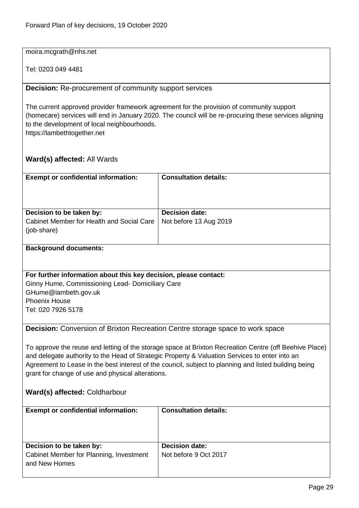#### moira.mcgrath@nhs.net

Tel: 0203 049 4481

#### <span id="page-28-0"></span>**Decision:** Re-procurement of community support services

The current approved provider framework agreement for the provision of community support (homecare) services will end in January 2020. The council will be re-procuring these services aligning to the development of local neighbourhoods. https://lambethtogether.net

#### **Ward(s) affected:** All Wards

| <b>Exempt or confidential information:</b>               | <b>Consultation details:</b> |
|----------------------------------------------------------|------------------------------|
| Decision to be taken by:                                 | <b>Decision date:</b>        |
| Cabinet Member for Health and Social Care<br>(job-share) | Not before 13 Aug 2019       |

#### **Background documents:**

#### **For further information about this key decision, please contact:**

Ginny Hume, Commissioning Lead- Domiciliary Care GHume@lambeth.gov.uk Phoenix House Tel: 020 7926 5178

<span id="page-28-1"></span>**Decision:** Conversion of Brixton Recreation Centre storage space to work space

To approve the reuse and letting of the storage space at Brixton Recreation Centre (off Beehive Place) and delegate authority to the Head of Strategic Property & Valuation Services to enter into an Agreement to Lease in the best interest of the council, subject to planning and listed building being grant for change of use and physical alterations.

#### **Ward(s) affected:** Coldharbour

| <b>Exempt or confidential information:</b>                                           | <b>Consultation details:</b>            |
|--------------------------------------------------------------------------------------|-----------------------------------------|
| Decision to be taken by:<br>Cabinet Member for Planning, Investment<br>and New Homes | Decision date:<br>Not before 9 Oct 2017 |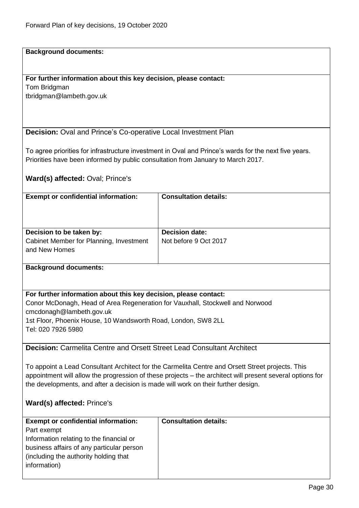#### **Background documents:**

# **For further information about this key decision, please contact:**

Tom Bridgman tbridgman@lambeth.gov.uk

<span id="page-29-0"></span>**Decision:** Oval and Prince's Co-operative Local Investment Plan

To agree priorities for infrastructure investment in Oval and Prince's wards for the next five years. Priorities have been informed by public consultation from January to March 2017.

**Ward(s) affected:** Oval; Prince's

| <b>Exempt or confidential information:</b>                                           | <b>Consultation details:</b>                   |
|--------------------------------------------------------------------------------------|------------------------------------------------|
| Decision to be taken by:<br>Cabinet Member for Planning, Investment<br>and New Homes | <b>Decision date:</b><br>Not before 9 Oct 2017 |

#### **Background documents:**

#### **For further information about this key decision, please contact:**

Conor McDonagh, Head of Area Regeneration for Vauxhall, Stockwell and Norwood cmcdonagh@lambeth.gov.uk

1st Floor, Phoenix House, 10 Wandsworth Road, London, SW8 2LL Tel: 020 7926 5980

#### <span id="page-29-1"></span>**Decision:** Carmelita Centre and Orsett Street Lead Consultant Architect

To appoint a Lead Consultant Architect for the Carmelita Centre and Orsett Street projects. This appointment will allow the progression of these projects – the architect will present several options for the developments, and after a decision is made will work on their further design.

#### **Ward(s) affected:** Prince's

| <b>Exempt or confidential information:</b> | <b>Consultation details:</b> |
|--------------------------------------------|------------------------------|
| Part exempt                                |                              |
| Information relating to the financial or   |                              |
| business affairs of any particular person  |                              |
| (including the authority holding that)     |                              |
| information)                               |                              |
|                                            |                              |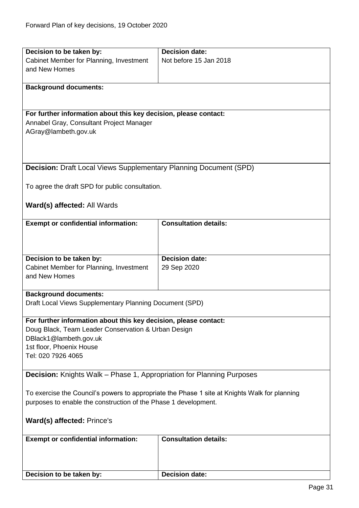<span id="page-30-1"></span><span id="page-30-0"></span>

| Decision to be taken by:                                                                      | <b>Decision date:</b>        |  |
|-----------------------------------------------------------------------------------------------|------------------------------|--|
| Cabinet Member for Planning, Investment                                                       | Not before 15 Jan 2018       |  |
| and New Homes                                                                                 |                              |  |
|                                                                                               |                              |  |
| <b>Background documents:</b>                                                                  |                              |  |
|                                                                                               |                              |  |
|                                                                                               |                              |  |
| For further information about this key decision, please contact:                              |                              |  |
| Annabel Gray, Consultant Project Manager                                                      |                              |  |
| AGray@lambeth.gov.uk                                                                          |                              |  |
|                                                                                               |                              |  |
|                                                                                               |                              |  |
|                                                                                               |                              |  |
| <b>Decision:</b> Draft Local Views Supplementary Planning Document (SPD)                      |                              |  |
|                                                                                               |                              |  |
| To agree the draft SPD for public consultation.                                               |                              |  |
|                                                                                               |                              |  |
| Ward(s) affected: All Wards                                                                   |                              |  |
|                                                                                               |                              |  |
| <b>Exempt or confidential information:</b>                                                    | <b>Consultation details:</b> |  |
|                                                                                               |                              |  |
|                                                                                               |                              |  |
|                                                                                               |                              |  |
| Decision to be taken by:                                                                      | <b>Decision date:</b>        |  |
| Cabinet Member for Planning, Investment                                                       | 29 Sep 2020                  |  |
| and New Homes                                                                                 |                              |  |
|                                                                                               |                              |  |
| <b>Background documents:</b>                                                                  |                              |  |
| Draft Local Views Supplementary Planning Document (SPD)                                       |                              |  |
|                                                                                               |                              |  |
| For further information about this key decision, please contact:                              |                              |  |
| Doug Black, Team Leader Conservation & Urban Design                                           |                              |  |
| DBlack1@lambeth.gov.uk                                                                        |                              |  |
| 1st floor, Phoenix House                                                                      |                              |  |
| Tel: 020 7926 4065                                                                            |                              |  |
|                                                                                               |                              |  |
| <b>Decision:</b> Knights Walk - Phase 1, Appropriation for Planning Purposes                  |                              |  |
|                                                                                               |                              |  |
| To exercise the Council's powers to appropriate the Phase 1 site at Knights Walk for planning |                              |  |
| purposes to enable the construction of the Phase 1 development.                               |                              |  |
|                                                                                               |                              |  |
| Ward(s) affected: Prince's                                                                    |                              |  |
|                                                                                               |                              |  |
| <b>Exempt or confidential information:</b>                                                    | <b>Consultation details:</b> |  |
|                                                                                               |                              |  |
|                                                                                               |                              |  |
|                                                                                               |                              |  |
| Decision to be taken by:                                                                      | <b>Decision date:</b>        |  |
|                                                                                               |                              |  |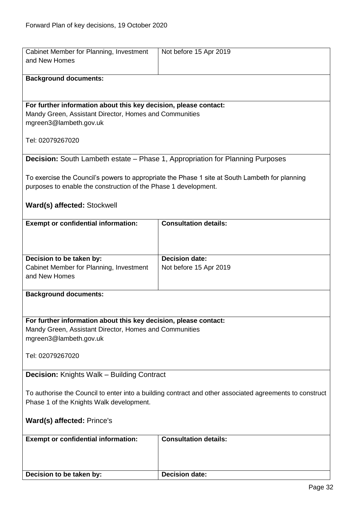<span id="page-31-1"></span><span id="page-31-0"></span>

| Cabinet Member for Planning, Investment                                                                                    | Not before 15 Apr 2019                                                                         |
|----------------------------------------------------------------------------------------------------------------------------|------------------------------------------------------------------------------------------------|
| and New Homes                                                                                                              |                                                                                                |
| <b>Background documents:</b>                                                                                               |                                                                                                |
|                                                                                                                            |                                                                                                |
|                                                                                                                            |                                                                                                |
| For further information about this key decision, please contact:                                                           |                                                                                                |
| Mandy Green, Assistant Director, Homes and Communities                                                                     |                                                                                                |
| mgreen3@lambeth.gov.uk                                                                                                     |                                                                                                |
| Tel: 02079267020                                                                                                           |                                                                                                |
|                                                                                                                            |                                                                                                |
| <b>Decision:</b> South Lambeth estate - Phase 1, Appropriation for Planning Purposes                                       |                                                                                                |
|                                                                                                                            |                                                                                                |
|                                                                                                                            | To exercise the Council's powers to appropriate the Phase 1 site at South Lambeth for planning |
| purposes to enable the construction of the Phase 1 development.                                                            |                                                                                                |
|                                                                                                                            |                                                                                                |
| Ward(s) affected: Stockwell                                                                                                |                                                                                                |
| <b>Exempt or confidential information:</b>                                                                                 | <b>Consultation details:</b>                                                                   |
|                                                                                                                            |                                                                                                |
|                                                                                                                            |                                                                                                |
|                                                                                                                            |                                                                                                |
| Decision to be taken by:<br>Cabinet Member for Planning, Investment                                                        | <b>Decision date:</b>                                                                          |
| and New Homes                                                                                                              | Not before 15 Apr 2019                                                                         |
|                                                                                                                            |                                                                                                |
| <b>Background documents:</b>                                                                                               |                                                                                                |
|                                                                                                                            |                                                                                                |
|                                                                                                                            |                                                                                                |
| For further information about this key decision, please contact:<br>Mandy Green, Assistant Director, Homes and Communities |                                                                                                |
| mgreen3@lambeth.gov.uk                                                                                                     |                                                                                                |
|                                                                                                                            |                                                                                                |
| Tel: 02079267020                                                                                                           |                                                                                                |
|                                                                                                                            |                                                                                                |
| <b>Decision:</b> Knights Walk – Building Contract                                                                          |                                                                                                |
| To authorise the Council to enter into a building contract and other associated agreements to construct                    |                                                                                                |
| Phase 1 of the Knights Walk development.                                                                                   |                                                                                                |
|                                                                                                                            |                                                                                                |
| Ward(s) affected: Prince's                                                                                                 |                                                                                                |
|                                                                                                                            |                                                                                                |
| <b>Exempt or confidential information:</b>                                                                                 | <b>Consultation details:</b>                                                                   |
|                                                                                                                            |                                                                                                |
|                                                                                                                            |                                                                                                |
| Decision to be taken by:                                                                                                   | <b>Decision date:</b>                                                                          |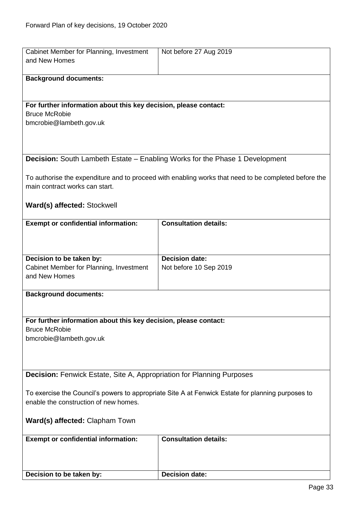<span id="page-32-1"></span><span id="page-32-0"></span>

| Cabinet Member for Planning, Investment                                                           | Not before 27 Aug 2019                                                                               |
|---------------------------------------------------------------------------------------------------|------------------------------------------------------------------------------------------------------|
| and New Homes                                                                                     |                                                                                                      |
|                                                                                                   |                                                                                                      |
| <b>Background documents:</b>                                                                      |                                                                                                      |
|                                                                                                   |                                                                                                      |
|                                                                                                   |                                                                                                      |
|                                                                                                   |                                                                                                      |
| For further information about this key decision, please contact:                                  |                                                                                                      |
| <b>Bruce McRobie</b>                                                                              |                                                                                                      |
| bmcrobie@lambeth.gov.uk                                                                           |                                                                                                      |
|                                                                                                   |                                                                                                      |
|                                                                                                   |                                                                                                      |
|                                                                                                   |                                                                                                      |
| <b>Decision:</b> South Lambeth Estate - Enabling Works for the Phase 1 Development                |                                                                                                      |
|                                                                                                   |                                                                                                      |
|                                                                                                   |                                                                                                      |
|                                                                                                   | To authorise the expenditure and to proceed with enabling works that need to be completed before the |
| main contract works can start.                                                                    |                                                                                                      |
|                                                                                                   |                                                                                                      |
| Ward(s) affected: Stockwell                                                                       |                                                                                                      |
|                                                                                                   |                                                                                                      |
| <b>Exempt or confidential information:</b>                                                        | <b>Consultation details:</b>                                                                         |
|                                                                                                   |                                                                                                      |
|                                                                                                   |                                                                                                      |
|                                                                                                   |                                                                                                      |
|                                                                                                   |                                                                                                      |
| Decision to be taken by:                                                                          | <b>Decision date:</b>                                                                                |
| Cabinet Member for Planning, Investment                                                           | Not before 10 Sep 2019                                                                               |
| and New Homes                                                                                     |                                                                                                      |
|                                                                                                   |                                                                                                      |
| <b>Background documents:</b>                                                                      |                                                                                                      |
|                                                                                                   |                                                                                                      |
|                                                                                                   |                                                                                                      |
| For further information about this key decision, please contact:                                  |                                                                                                      |
| <b>Bruce McRobie</b>                                                                              |                                                                                                      |
|                                                                                                   |                                                                                                      |
| bmcrobie@lambeth.gov.uk                                                                           |                                                                                                      |
|                                                                                                   |                                                                                                      |
|                                                                                                   |                                                                                                      |
|                                                                                                   |                                                                                                      |
| <b>Decision: Fenwick Estate, Site A, Appropriation for Planning Purposes</b>                      |                                                                                                      |
|                                                                                                   |                                                                                                      |
| To exercise the Council's powers to appropriate Site A at Fenwick Estate for planning purposes to |                                                                                                      |
| enable the construction of new homes.                                                             |                                                                                                      |
|                                                                                                   |                                                                                                      |
|                                                                                                   |                                                                                                      |
| Ward(s) affected: Clapham Town                                                                    |                                                                                                      |
|                                                                                                   |                                                                                                      |
| <b>Exempt or confidential information:</b>                                                        | <b>Consultation details:</b>                                                                         |
|                                                                                                   |                                                                                                      |
|                                                                                                   |                                                                                                      |
|                                                                                                   |                                                                                                      |
| Decision to be taken by:                                                                          | <b>Decision date:</b>                                                                                |
|                                                                                                   |                                                                                                      |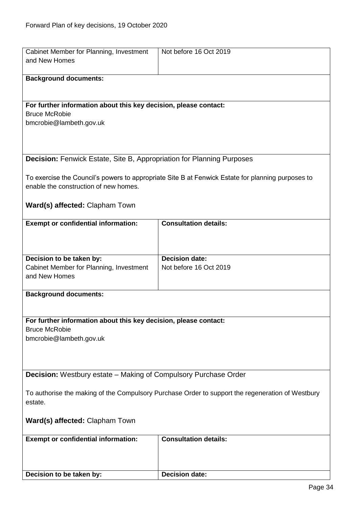<span id="page-33-1"></span><span id="page-33-0"></span>

| Cabinet Member for Planning, Investment<br>and New Homes                                                    | Not before 16 Oct 2019                                                                            |  |
|-------------------------------------------------------------------------------------------------------------|---------------------------------------------------------------------------------------------------|--|
|                                                                                                             |                                                                                                   |  |
| <b>Background documents:</b>                                                                                |                                                                                                   |  |
|                                                                                                             |                                                                                                   |  |
| For further information about this key decision, please contact:                                            |                                                                                                   |  |
| <b>Bruce McRobie</b><br>bmcrobie@lambeth.gov.uk                                                             |                                                                                                   |  |
|                                                                                                             |                                                                                                   |  |
|                                                                                                             |                                                                                                   |  |
| <b>Decision: Fenwick Estate, Site B, Appropriation for Planning Purposes</b>                                |                                                                                                   |  |
|                                                                                                             | To exercise the Council's powers to appropriate Site B at Fenwick Estate for planning purposes to |  |
| enable the construction of new homes.                                                                       |                                                                                                   |  |
| Ward(s) affected: Clapham Town                                                                              |                                                                                                   |  |
|                                                                                                             |                                                                                                   |  |
| <b>Exempt or confidential information:</b>                                                                  | <b>Consultation details:</b>                                                                      |  |
|                                                                                                             |                                                                                                   |  |
|                                                                                                             | Decision date:                                                                                    |  |
| Decision to be taken by:<br>Cabinet Member for Planning, Investment                                         | Not before 16 Oct 2019                                                                            |  |
| and New Homes                                                                                               |                                                                                                   |  |
| <b>Background documents:</b>                                                                                |                                                                                                   |  |
|                                                                                                             |                                                                                                   |  |
| For further information about this key decision, please contact:                                            |                                                                                                   |  |
| <b>Bruce McRobie</b>                                                                                        |                                                                                                   |  |
| bmcrobie@lambeth.gov.uk                                                                                     |                                                                                                   |  |
|                                                                                                             |                                                                                                   |  |
| <b>Decision:</b> Westbury estate - Making of Compulsory Purchase Order                                      |                                                                                                   |  |
|                                                                                                             |                                                                                                   |  |
| To authorise the making of the Compulsory Purchase Order to support the regeneration of Westbury<br>estate. |                                                                                                   |  |
| Ward(s) affected: Clapham Town                                                                              |                                                                                                   |  |
| <b>Exempt or confidential information:</b>                                                                  | <b>Consultation details:</b>                                                                      |  |
|                                                                                                             |                                                                                                   |  |
|                                                                                                             |                                                                                                   |  |
| Decision to be taken by:                                                                                    | <b>Decision date:</b>                                                                             |  |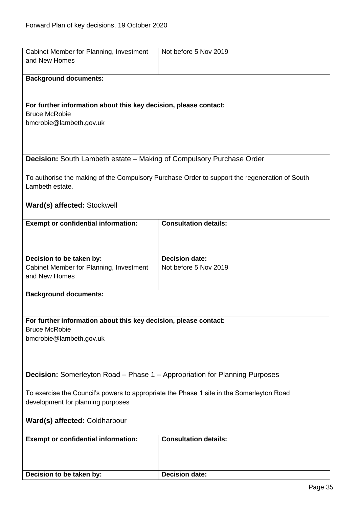<span id="page-34-1"></span><span id="page-34-0"></span>

| Cabinet Member for Planning, Investment                                                  | Not before 5 Nov 2019                                                                         |  |
|------------------------------------------------------------------------------------------|-----------------------------------------------------------------------------------------------|--|
| and New Homes                                                                            |                                                                                               |  |
|                                                                                          |                                                                                               |  |
| <b>Background documents:</b>                                                             |                                                                                               |  |
|                                                                                          |                                                                                               |  |
| For further information about this key decision, please contact:                         |                                                                                               |  |
| <b>Bruce McRobie</b>                                                                     |                                                                                               |  |
| bmcrobie@lambeth.gov.uk                                                                  |                                                                                               |  |
|                                                                                          |                                                                                               |  |
|                                                                                          |                                                                                               |  |
| Decision: South Lambeth estate - Making of Compulsory Purchase Order                     |                                                                                               |  |
|                                                                                          |                                                                                               |  |
|                                                                                          | To authorise the making of the Compulsory Purchase Order to support the regeneration of South |  |
| Lambeth estate.                                                                          |                                                                                               |  |
|                                                                                          |                                                                                               |  |
| Ward(s) affected: Stockwell                                                              |                                                                                               |  |
| <b>Exempt or confidential information:</b>                                               | <b>Consultation details:</b>                                                                  |  |
|                                                                                          |                                                                                               |  |
|                                                                                          |                                                                                               |  |
|                                                                                          | <b>Decision date:</b>                                                                         |  |
| Decision to be taken by:<br>Cabinet Member for Planning, Investment                      | Not before 5 Nov 2019                                                                         |  |
| and New Homes                                                                            |                                                                                               |  |
|                                                                                          |                                                                                               |  |
| <b>Background documents:</b>                                                             |                                                                                               |  |
|                                                                                          |                                                                                               |  |
| For further information about this key decision, please contact:                         |                                                                                               |  |
| <b>Bruce McRobie</b>                                                                     |                                                                                               |  |
| bmcrobie@lambeth.gov.uk                                                                  |                                                                                               |  |
|                                                                                          |                                                                                               |  |
|                                                                                          |                                                                                               |  |
|                                                                                          |                                                                                               |  |
| <b>Decision:</b> Somerleyton Road - Phase 1 - Appropriation for Planning Purposes        |                                                                                               |  |
| To exercise the Council's powers to appropriate the Phase 1 site in the Somerleyton Road |                                                                                               |  |
| development for planning purposes                                                        |                                                                                               |  |
|                                                                                          |                                                                                               |  |
| Ward(s) affected: Coldharbour                                                            |                                                                                               |  |
| <b>Exempt or confidential information:</b>                                               | <b>Consultation details:</b>                                                                  |  |
|                                                                                          |                                                                                               |  |
|                                                                                          |                                                                                               |  |
|                                                                                          |                                                                                               |  |
| Decision to be taken by:                                                                 | <b>Decision date:</b>                                                                         |  |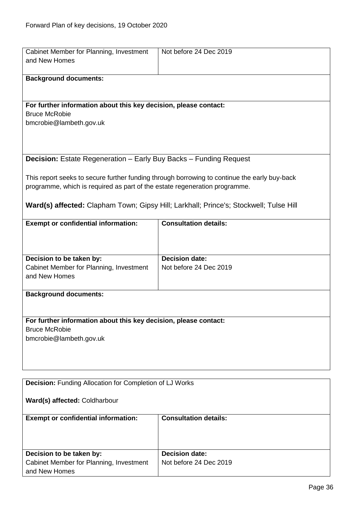<span id="page-35-1"></span><span id="page-35-0"></span>

| Cabinet Member for Planning, Investment<br>and New Homes                                                                                                                                                                                                            | Not before 24 Dec 2019                          |  |
|---------------------------------------------------------------------------------------------------------------------------------------------------------------------------------------------------------------------------------------------------------------------|-------------------------------------------------|--|
| <b>Background documents:</b>                                                                                                                                                                                                                                        |                                                 |  |
| For further information about this key decision, please contact:<br><b>Bruce McRobie</b><br>bmcrobie@lambeth.gov.uk                                                                                                                                                 |                                                 |  |
| Decision: Estate Regeneration - Early Buy Backs - Funding Request                                                                                                                                                                                                   |                                                 |  |
| This report seeks to secure further funding through borrowing to continue the early buy-back<br>programme, which is required as part of the estate regeneration programme.<br>Ward(s) affected: Clapham Town; Gipsy Hill; Larkhall; Prince's; Stockwell; Tulse Hill |                                                 |  |
|                                                                                                                                                                                                                                                                     |                                                 |  |
| <b>Exempt or confidential information:</b>                                                                                                                                                                                                                          | <b>Consultation details:</b>                    |  |
| Decision to be taken by:<br>Cabinet Member for Planning, Investment<br>and New Homes                                                                                                                                                                                | <b>Decision date:</b><br>Not before 24 Dec 2019 |  |
| <b>Background documents:</b>                                                                                                                                                                                                                                        |                                                 |  |
| For further information about this key decision, please contact:<br><b>Bruce McRobie</b><br>bmcrobie@lambeth.gov.uk                                                                                                                                                 |                                                 |  |
| <b>Decision:</b> Funding Allocation for Completion of LJ Works                                                                                                                                                                                                      |                                                 |  |
| Ward(s) affected: Coldharbour                                                                                                                                                                                                                                       |                                                 |  |
| <b>Exempt or confidential information:</b>                                                                                                                                                                                                                          | <b>Consultation details:</b>                    |  |
| Decision to be taken by:<br>Cabinet Member for Planning, Investment<br>and New Homes                                                                                                                                                                                | <b>Decision date:</b><br>Not before 24 Dec 2019 |  |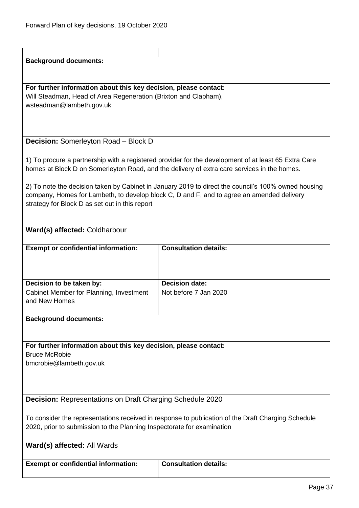# <span id="page-36-0"></span>**Background documents: For further information about this key decision, please contact:** Will Steadman, Head of Area Regeneration (Brixton and Clapham), wsteadman@lambeth.gov.uk **Decision:** Somerleyton Road – Block D 1) To procure a partnership with a registered provider for the development of at least 65 Extra Care homes at Block D on Somerleyton Road, and the delivery of extra care services in the homes. 2) To note the decision taken by Cabinet in January 2019 to direct the council's 100% owned housing company, Homes for Lambeth, to develop block C, D and F, and to agree an amended delivery strategy for Block D as set out in this report **Ward(s) affected:** Coldharbour **Exempt or confidential information: Consultation details: Decision to be taken by:** Cabinet Member for Planning, Investment and New Homes **Decision date:** Not before 7 Jan 2020 **Background documents: For further information about this key decision, please contact:** Bruce McRobie bmcrobie@lambeth.gov.uk

<span id="page-36-1"></span>**Decision:** Representations on Draft Charging Schedule 2020

To consider the representations received in response to publication of the Draft Charging Schedule 2020, prior to submission to the Planning Inspectorate for examination

| <b>Exempt or confidential information:</b> | <b>Consultation details:</b> |
|--------------------------------------------|------------------------------|
|                                            |                              |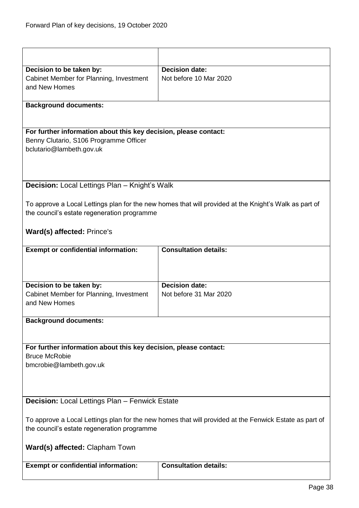<span id="page-37-1"></span><span id="page-37-0"></span>

| Decision to be taken by:                                                                               | <b>Decision date:</b>                                                                                 |
|--------------------------------------------------------------------------------------------------------|-------------------------------------------------------------------------------------------------------|
| Cabinet Member for Planning, Investment                                                                | Not before 10 Mar 2020                                                                                |
| and New Homes                                                                                          |                                                                                                       |
|                                                                                                        |                                                                                                       |
| <b>Background documents:</b>                                                                           |                                                                                                       |
|                                                                                                        |                                                                                                       |
|                                                                                                        |                                                                                                       |
| For further information about this key decision, please contact:                                       |                                                                                                       |
| Benny Clutario, S106 Programme Officer                                                                 |                                                                                                       |
| bclutario@lambeth.gov.uk                                                                               |                                                                                                       |
|                                                                                                        |                                                                                                       |
|                                                                                                        |                                                                                                       |
|                                                                                                        |                                                                                                       |
| <b>Decision:</b> Local Lettings Plan - Knight's Walk                                                   |                                                                                                       |
|                                                                                                        |                                                                                                       |
|                                                                                                        | To approve a Local Lettings plan for the new homes that will provided at the Knight's Walk as part of |
| the council's estate regeneration programme                                                            |                                                                                                       |
|                                                                                                        |                                                                                                       |
| <b>Ward(s) affected: Prince's</b>                                                                      |                                                                                                       |
|                                                                                                        |                                                                                                       |
| <b>Exempt or confidential information:</b>                                                             | <b>Consultation details:</b>                                                                          |
|                                                                                                        |                                                                                                       |
|                                                                                                        |                                                                                                       |
|                                                                                                        |                                                                                                       |
| Decision to be taken by:                                                                               | <b>Decision date:</b>                                                                                 |
| Cabinet Member for Planning, Investment                                                                | Not before 31 Mar 2020                                                                                |
| and New Homes                                                                                          |                                                                                                       |
|                                                                                                        |                                                                                                       |
| <b>Background documents:</b>                                                                           |                                                                                                       |
|                                                                                                        |                                                                                                       |
|                                                                                                        |                                                                                                       |
| For further information about this key decision, please contact:                                       |                                                                                                       |
| <b>Bruce McRobie</b>                                                                                   |                                                                                                       |
| bmcrobie@lambeth.gov.uk                                                                                |                                                                                                       |
|                                                                                                        |                                                                                                       |
|                                                                                                        |                                                                                                       |
|                                                                                                        |                                                                                                       |
| Decision: Local Lettings Plan - Fenwick Estate                                                         |                                                                                                       |
|                                                                                                        |                                                                                                       |
| To approve a Local Lettings plan for the new homes that will provided at the Fenwick Estate as part of |                                                                                                       |
| the council's estate regeneration programme                                                            |                                                                                                       |
|                                                                                                        |                                                                                                       |
| Ward(s) affected: Clapham Town                                                                         |                                                                                                       |
|                                                                                                        |                                                                                                       |
| <b>Exempt or confidential information:</b>                                                             | <b>Consultation details:</b>                                                                          |
|                                                                                                        |                                                                                                       |
|                                                                                                        |                                                                                                       |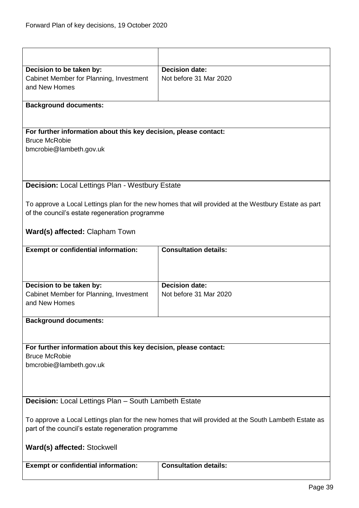<span id="page-38-1"></span><span id="page-38-0"></span>

| Decision to be taken by:                                                                             | <b>Decision date:</b>                                                                                |
|------------------------------------------------------------------------------------------------------|------------------------------------------------------------------------------------------------------|
| Cabinet Member for Planning, Investment                                                              | Not before 31 Mar 2020                                                                               |
| and New Homes                                                                                        |                                                                                                      |
|                                                                                                      |                                                                                                      |
| <b>Background documents:</b>                                                                         |                                                                                                      |
|                                                                                                      |                                                                                                      |
|                                                                                                      |                                                                                                      |
| For further information about this key decision, please contact:                                     |                                                                                                      |
| <b>Bruce McRobie</b>                                                                                 |                                                                                                      |
| bmcrobie@lambeth.gov.uk                                                                              |                                                                                                      |
|                                                                                                      |                                                                                                      |
|                                                                                                      |                                                                                                      |
|                                                                                                      |                                                                                                      |
| <b>Decision: Local Lettings Plan - Westbury Estate</b>                                               |                                                                                                      |
|                                                                                                      | To approve a Local Lettings plan for the new homes that will provided at the Westbury Estate as part |
| of the council's estate regeneration programme                                                       |                                                                                                      |
|                                                                                                      |                                                                                                      |
| <b>Ward(s) affected: Clapham Town</b>                                                                |                                                                                                      |
| <b>Exempt or confidential information:</b>                                                           | <b>Consultation details:</b>                                                                         |
|                                                                                                      |                                                                                                      |
|                                                                                                      |                                                                                                      |
|                                                                                                      |                                                                                                      |
| Decision to be taken by:                                                                             | <b>Decision date:</b>                                                                                |
| Cabinet Member for Planning, Investment                                                              | Not before 31 Mar 2020                                                                               |
| and New Homes                                                                                        |                                                                                                      |
|                                                                                                      |                                                                                                      |
| <b>Background documents:</b>                                                                         |                                                                                                      |
|                                                                                                      |                                                                                                      |
|                                                                                                      |                                                                                                      |
| For further information about this key decision, please contact:                                     |                                                                                                      |
| <b>Bruce McRobie</b>                                                                                 |                                                                                                      |
| bmcrobie@lambeth.gov.uk                                                                              |                                                                                                      |
|                                                                                                      |                                                                                                      |
|                                                                                                      |                                                                                                      |
|                                                                                                      |                                                                                                      |
| Decision: Local Lettings Plan - South Lambeth Estate                                                 |                                                                                                      |
|                                                                                                      |                                                                                                      |
| To approve a Local Lettings plan for the new homes that will provided at the South Lambeth Estate as |                                                                                                      |
| part of the council's estate regeneration programme                                                  |                                                                                                      |
|                                                                                                      |                                                                                                      |
| Ward(s) affected: Stockwell                                                                          |                                                                                                      |
|                                                                                                      |                                                                                                      |
| <b>Exempt or confidential information:</b>                                                           | <b>Consultation details:</b>                                                                         |
|                                                                                                      |                                                                                                      |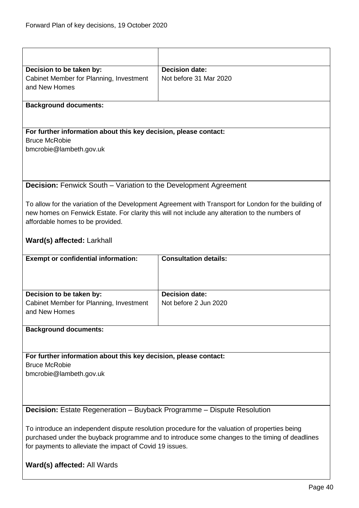<span id="page-39-1"></span><span id="page-39-0"></span>

| Decision to be taken by:                                                      | <b>Decision date:</b>                                                                                 |
|-------------------------------------------------------------------------------|-------------------------------------------------------------------------------------------------------|
| Cabinet Member for Planning, Investment                                       | Not before 31 Mar 2020                                                                                |
| and New Homes                                                                 |                                                                                                       |
|                                                                               |                                                                                                       |
| <b>Background documents:</b>                                                  |                                                                                                       |
|                                                                               |                                                                                                       |
|                                                                               |                                                                                                       |
| For further information about this key decision, please contact:              |                                                                                                       |
| <b>Bruce McRobie</b>                                                          |                                                                                                       |
| bmcrobie@lambeth.gov.uk                                                       |                                                                                                       |
|                                                                               |                                                                                                       |
|                                                                               |                                                                                                       |
|                                                                               |                                                                                                       |
| <b>Decision:</b> Fenwick South – Variation to the Development Agreement       |                                                                                                       |
|                                                                               |                                                                                                       |
|                                                                               | To allow for the variation of the Development Agreement with Transport for London for the building of |
|                                                                               | new homes on Fenwick Estate. For clarity this will not include any alteration to the numbers of       |
| affordable homes to be provided.                                              |                                                                                                       |
|                                                                               |                                                                                                       |
|                                                                               |                                                                                                       |
| Ward(s) affected: Larkhall                                                    |                                                                                                       |
| <b>Exempt or confidential information:</b>                                    | <b>Consultation details:</b>                                                                          |
|                                                                               |                                                                                                       |
|                                                                               |                                                                                                       |
|                                                                               |                                                                                                       |
| Decision to be taken by:                                                      | <b>Decision date:</b>                                                                                 |
| Cabinet Member for Planning, Investment                                       | Not before 2 Jun 2020                                                                                 |
|                                                                               |                                                                                                       |
| and New Homes                                                                 |                                                                                                       |
|                                                                               |                                                                                                       |
| <b>Background documents:</b>                                                  |                                                                                                       |
|                                                                               |                                                                                                       |
|                                                                               |                                                                                                       |
|                                                                               |                                                                                                       |
| For further information about this key decision, please contact:              |                                                                                                       |
| <b>Bruce McRobie</b>                                                          |                                                                                                       |
| bmcrobie@lambeth.gov.uk                                                       |                                                                                                       |
|                                                                               |                                                                                                       |
|                                                                               |                                                                                                       |
|                                                                               |                                                                                                       |
| <b>Decision:</b> Estate Regeneration - Buyback Programme - Dispute Resolution |                                                                                                       |
|                                                                               |                                                                                                       |
|                                                                               | To introduce an independent dispute resolution procedure for the valuation of properties being        |
|                                                                               | purchased under the buyback programme and to introduce some changes to the timing of deadlines        |
| for payments to alleviate the impact of Covid 19 issues.                      |                                                                                                       |
|                                                                               |                                                                                                       |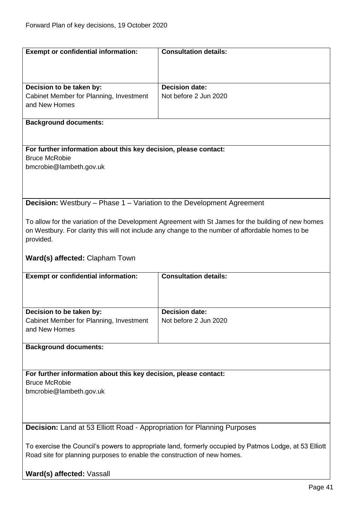<span id="page-40-1"></span><span id="page-40-0"></span>

| <b>Exempt or confidential information:</b>                                                             | <b>Consultation details:</b>                                                                        |
|--------------------------------------------------------------------------------------------------------|-----------------------------------------------------------------------------------------------------|
|                                                                                                        |                                                                                                     |
|                                                                                                        |                                                                                                     |
|                                                                                                        |                                                                                                     |
| Decision to be taken by:                                                                               | <b>Decision date:</b>                                                                               |
| Cabinet Member for Planning, Investment                                                                | Not before 2 Jun 2020                                                                               |
| and New Homes                                                                                          |                                                                                                     |
|                                                                                                        |                                                                                                     |
| <b>Background documents:</b>                                                                           |                                                                                                     |
|                                                                                                        |                                                                                                     |
| For further information about this key decision, please contact:                                       |                                                                                                     |
| <b>Bruce McRobie</b>                                                                                   |                                                                                                     |
| bmcrobie@lambeth.gov.uk                                                                                |                                                                                                     |
|                                                                                                        |                                                                                                     |
|                                                                                                        |                                                                                                     |
|                                                                                                        |                                                                                                     |
| <b>Decision:</b> Westbury – Phase 1 – Variation to the Development Agreement                           |                                                                                                     |
|                                                                                                        |                                                                                                     |
|                                                                                                        | To allow for the variation of the Development Agreement with St James for the building of new homes |
|                                                                                                        | on Westbury. For clarity this will not include any change to the number of affordable homes to be   |
| provided.                                                                                              |                                                                                                     |
|                                                                                                        |                                                                                                     |
| <b>Ward(s) affected: Clapham Town</b>                                                                  |                                                                                                     |
|                                                                                                        |                                                                                                     |
| <b>Exempt or confidential information:</b>                                                             | <b>Consultation details:</b>                                                                        |
|                                                                                                        |                                                                                                     |
|                                                                                                        |                                                                                                     |
|                                                                                                        | <b>Decision date:</b>                                                                               |
| Decision to be taken by:<br>Cabinet Member for Planning, Investment                                    | Not before 2 Jun 2020                                                                               |
| and New Homes                                                                                          |                                                                                                     |
|                                                                                                        |                                                                                                     |
| <b>Background documents:</b>                                                                           |                                                                                                     |
|                                                                                                        |                                                                                                     |
|                                                                                                        |                                                                                                     |
| For further information about this key decision, please contact:                                       |                                                                                                     |
| <b>Bruce McRobie</b>                                                                                   |                                                                                                     |
| bmcrobie@lambeth.gov.uk                                                                                |                                                                                                     |
|                                                                                                        |                                                                                                     |
|                                                                                                        |                                                                                                     |
|                                                                                                        |                                                                                                     |
| <b>Decision:</b> Land at 53 Elliott Road - Appropriation for Planning Purposes                         |                                                                                                     |
|                                                                                                        |                                                                                                     |
| To exercise the Council's powers to appropriate land, formerly occupied by Patmos Lodge, at 53 Elliott |                                                                                                     |
| Road site for planning purposes to enable the construction of new homes.                               |                                                                                                     |
|                                                                                                        |                                                                                                     |
| Ward(s) affected: Vassall                                                                              |                                                                                                     |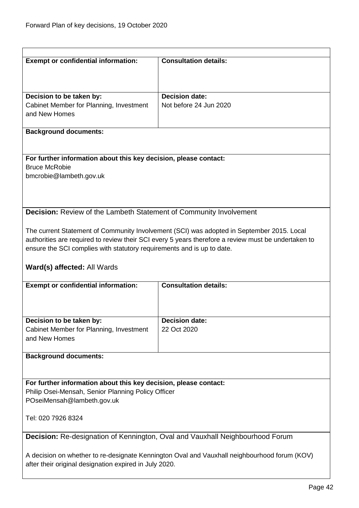<span id="page-41-1"></span><span id="page-41-0"></span>

| <b>Exempt or confidential information:</b>                                                   | <b>Consultation details:</b>                                                                        |
|----------------------------------------------------------------------------------------------|-----------------------------------------------------------------------------------------------------|
|                                                                                              |                                                                                                     |
|                                                                                              |                                                                                                     |
| Decision to be taken by:                                                                     | <b>Decision date:</b>                                                                               |
| Cabinet Member for Planning, Investment                                                      | Not before 24 Jun 2020                                                                              |
| and New Homes                                                                                |                                                                                                     |
| <b>Background documents:</b>                                                                 |                                                                                                     |
|                                                                                              |                                                                                                     |
| For further information about this key decision, please contact:                             |                                                                                                     |
| <b>Bruce McRobie</b>                                                                         |                                                                                                     |
| bmcrobie@lambeth.gov.uk                                                                      |                                                                                                     |
|                                                                                              |                                                                                                     |
|                                                                                              |                                                                                                     |
| Decision: Review of the Lambeth Statement of Community Involvement                           |                                                                                                     |
|                                                                                              |                                                                                                     |
|                                                                                              | The current Statement of Community Involvement (SCI) was adopted in September 2015. Local           |
|                                                                                              | authorities are required to review their SCI every 5 years therefore a review must be undertaken to |
| ensure the SCI complies with statutory requirements and is up to date.                       |                                                                                                     |
|                                                                                              |                                                                                                     |
| Ward(s) affected: All Wards                                                                  |                                                                                                     |
| <b>Exempt or confidential information:</b>                                                   | <b>Consultation details:</b>                                                                        |
|                                                                                              |                                                                                                     |
|                                                                                              |                                                                                                     |
|                                                                                              |                                                                                                     |
| Decision to be taken by:                                                                     | <b>Decision date:</b><br>22 Oct 2020                                                                |
| Cabinet Member for Planning, Investment<br>and New Homes                                     |                                                                                                     |
|                                                                                              |                                                                                                     |
| <b>Background documents:</b>                                                                 |                                                                                                     |
|                                                                                              |                                                                                                     |
| For further information about this key decision, please contact:                             |                                                                                                     |
| Philip Osei-Mensah, Senior Planning Policy Officer                                           |                                                                                                     |
| POseiMensah@lambeth.gov.uk                                                                   |                                                                                                     |
|                                                                                              |                                                                                                     |
| Tel: 020 7926 8324                                                                           |                                                                                                     |
| Decision: Re-designation of Kennington, Oval and Vauxhall Neighbourhood Forum                |                                                                                                     |
|                                                                                              |                                                                                                     |
| A decision on whether to re-designate Kennington Oval and Vauxhall neighbourhood forum (KOV) |                                                                                                     |
| after their original designation expired in July 2020.                                       |                                                                                                     |
|                                                                                              |                                                                                                     |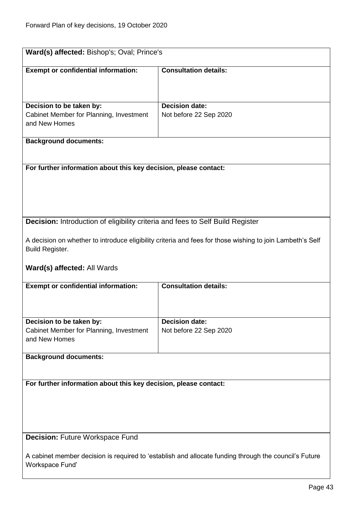<span id="page-42-1"></span><span id="page-42-0"></span>

| Ward(s) affected: Bishop's; Oval; Prince's                                                                               |                                                                                                           |  |
|--------------------------------------------------------------------------------------------------------------------------|-----------------------------------------------------------------------------------------------------------|--|
| <b>Exempt or confidential information:</b>                                                                               | <b>Consultation details:</b>                                                                              |  |
| Decision to be taken by:                                                                                                 | <b>Decision date:</b>                                                                                     |  |
| Cabinet Member for Planning, Investment                                                                                  | Not before 22 Sep 2020                                                                                    |  |
| and New Homes                                                                                                            |                                                                                                           |  |
| <b>Background documents:</b>                                                                                             |                                                                                                           |  |
|                                                                                                                          |                                                                                                           |  |
| For further information about this key decision, please contact:                                                         |                                                                                                           |  |
|                                                                                                                          |                                                                                                           |  |
|                                                                                                                          |                                                                                                           |  |
|                                                                                                                          |                                                                                                           |  |
| Decision: Introduction of eligibility criteria and fees to Self Build Register                                           |                                                                                                           |  |
| <b>Build Register.</b>                                                                                                   | A decision on whether to introduce eligibility criteria and fees for those wishing to join Lambeth's Self |  |
| Ward(s) affected: All Wards                                                                                              |                                                                                                           |  |
| <b>Exempt or confidential information:</b>                                                                               | <b>Consultation details:</b>                                                                              |  |
|                                                                                                                          |                                                                                                           |  |
| Decision to be taken by:                                                                                                 | <b>Decision date:</b>                                                                                     |  |
| Cabinet Member for Planning, Investment<br>and New Homes                                                                 | Not before 22 Sep 2020                                                                                    |  |
| <b>Background documents:</b>                                                                                             |                                                                                                           |  |
|                                                                                                                          |                                                                                                           |  |
| For further information about this key decision, please contact:                                                         |                                                                                                           |  |
|                                                                                                                          |                                                                                                           |  |
|                                                                                                                          |                                                                                                           |  |
|                                                                                                                          |                                                                                                           |  |
| <b>Decision: Future Workspace Fund</b>                                                                                   |                                                                                                           |  |
| A cabinet member decision is required to 'establish and allocate funding through the council's Future<br>Workspace Fund' |                                                                                                           |  |
|                                                                                                                          |                                                                                                           |  |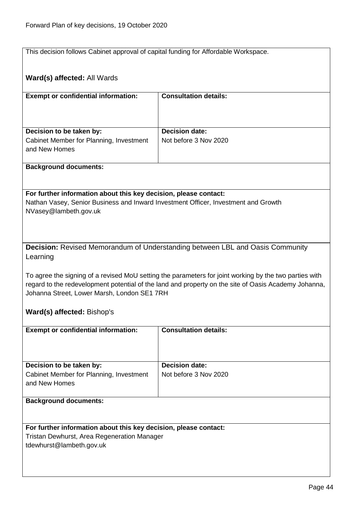This decision follows Cabinet approval of capital funding for Affordable Workspace.

<span id="page-43-0"></span>

| Ward(s) affected: All Wards                                                                                                                                                                                                                                                                 |                                                                                      |  |
|---------------------------------------------------------------------------------------------------------------------------------------------------------------------------------------------------------------------------------------------------------------------------------------------|--------------------------------------------------------------------------------------|--|
| <b>Exempt or confidential information:</b>                                                                                                                                                                                                                                                  | <b>Consultation details:</b>                                                         |  |
| Decision to be taken by:                                                                                                                                                                                                                                                                    | <b>Decision date:</b>                                                                |  |
| Cabinet Member for Planning, Investment<br>and New Homes                                                                                                                                                                                                                                    | Not before 3 Nov 2020                                                                |  |
| <b>Background documents:</b>                                                                                                                                                                                                                                                                |                                                                                      |  |
|                                                                                                                                                                                                                                                                                             |                                                                                      |  |
| For further information about this key decision, please contact:<br>Nathan Vasey, Senior Business and Inward Investment Officer, Investment and Growth<br>NVasey@lambeth.gov.uk                                                                                                             |                                                                                      |  |
|                                                                                                                                                                                                                                                                                             | <b>Decision:</b> Revised Memorandum of Understanding between LBL and Oasis Community |  |
| Learning                                                                                                                                                                                                                                                                                    |                                                                                      |  |
| To agree the signing of a revised MoU setting the parameters for joint working by the two parties with<br>regard to the redevelopment potential of the land and property on the site of Oasis Academy Johanna,<br>Johanna Street, Lower Marsh, London SE1 7RH<br>Ward(s) affected: Bishop's |                                                                                      |  |
| <b>Exempt or confidential information:</b>                                                                                                                                                                                                                                                  | <b>Consultation details:</b>                                                         |  |
|                                                                                                                                                                                                                                                                                             |                                                                                      |  |
| Decision to be taken by:                                                                                                                                                                                                                                                                    | <b>Decision date:</b>                                                                |  |
| Cabinet Member for Planning, Investment<br>and New Homes                                                                                                                                                                                                                                    | Not before 3 Nov 2020                                                                |  |
| <b>Background documents:</b>                                                                                                                                                                                                                                                                |                                                                                      |  |
|                                                                                                                                                                                                                                                                                             |                                                                                      |  |
| For further information about this key decision, please contact:                                                                                                                                                                                                                            |                                                                                      |  |
| <b>Tristan Dewhurst, Area Regeneration Manager</b>                                                                                                                                                                                                                                          |                                                                                      |  |
| tdewhurst@lambeth.gov.uk                                                                                                                                                                                                                                                                    |                                                                                      |  |
|                                                                                                                                                                                                                                                                                             |                                                                                      |  |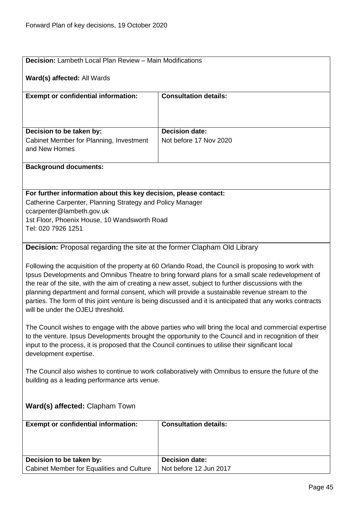<span id="page-44-1"></span><span id="page-44-0"></span>

| <b>Decision:</b> Lambeth Local Plan Review - Main Modifications                                                                                                                                                                                                                                                                                                                                                                                                                                                                                                    |                                                 |  |
|--------------------------------------------------------------------------------------------------------------------------------------------------------------------------------------------------------------------------------------------------------------------------------------------------------------------------------------------------------------------------------------------------------------------------------------------------------------------------------------------------------------------------------------------------------------------|-------------------------------------------------|--|
| Ward(s) affected: All Wards                                                                                                                                                                                                                                                                                                                                                                                                                                                                                                                                        |                                                 |  |
| <b>Exempt or confidential information:</b>                                                                                                                                                                                                                                                                                                                                                                                                                                                                                                                         | <b>Consultation details:</b>                    |  |
|                                                                                                                                                                                                                                                                                                                                                                                                                                                                                                                                                                    |                                                 |  |
|                                                                                                                                                                                                                                                                                                                                                                                                                                                                                                                                                                    |                                                 |  |
| Decision to be taken by:<br>Cabinet Member for Planning, Investment                                                                                                                                                                                                                                                                                                                                                                                                                                                                                                | <b>Decision date:</b><br>Not before 17 Nov 2020 |  |
| and New Homes                                                                                                                                                                                                                                                                                                                                                                                                                                                                                                                                                      |                                                 |  |
| <b>Background documents:</b>                                                                                                                                                                                                                                                                                                                                                                                                                                                                                                                                       |                                                 |  |
|                                                                                                                                                                                                                                                                                                                                                                                                                                                                                                                                                                    |                                                 |  |
| For further information about this key decision, please contact:                                                                                                                                                                                                                                                                                                                                                                                                                                                                                                   |                                                 |  |
| Catherine Carpenter, Planning Strategy and Policy Manager<br>ccarpenter@lambeth.gov.uk                                                                                                                                                                                                                                                                                                                                                                                                                                                                             |                                                 |  |
| 1st Floor, Phoenix House, 10 Wandsworth Road                                                                                                                                                                                                                                                                                                                                                                                                                                                                                                                       |                                                 |  |
| Tel: 020 7926 1251                                                                                                                                                                                                                                                                                                                                                                                                                                                                                                                                                 |                                                 |  |
| <b>Decision:</b> Proposal regarding the site at the former Clapham Old Library                                                                                                                                                                                                                                                                                                                                                                                                                                                                                     |                                                 |  |
| Following the acquisition of the property at 60 Orlando Road, the Council is proposing to work with<br>Ipsus Developments and Omnibus Theatre to bring forward plans for a small scale redevelopment of<br>the rear of the site, with the aim of creating a new asset, subject to further discussions with the<br>planning department and formal consent, which will provide a sustainable revenue stream to the<br>parties. The form of this joint venture is being discussed and it is anticipated that any works contracts<br>will be under the OJEU threshold. |                                                 |  |
| The Council wishes to engage with the above parties who will bring the local and commercial expertise<br>to the venture. Ipsus Developments brought the opportunity to the Council and in recognition of their<br>input to the process, it is proposed that the Council continues to utilise their significant local<br>development expertise.                                                                                                                                                                                                                     |                                                 |  |
| The Council also wishes to continue to work collaboratively with Omnibus to ensure the future of the<br>building as a leading performance arts venue.                                                                                                                                                                                                                                                                                                                                                                                                              |                                                 |  |
| Ward(s) affected: Clapham Town                                                                                                                                                                                                                                                                                                                                                                                                                                                                                                                                     |                                                 |  |
| <b>Exempt or confidential information:</b>                                                                                                                                                                                                                                                                                                                                                                                                                                                                                                                         | <b>Consultation details:</b>                    |  |
|                                                                                                                                                                                                                                                                                                                                                                                                                                                                                                                                                                    |                                                 |  |
| Decision to be taken by:                                                                                                                                                                                                                                                                                                                                                                                                                                                                                                                                           | <b>Decision date:</b>                           |  |
| Cabinet Member for Equalities and Culture                                                                                                                                                                                                                                                                                                                                                                                                                                                                                                                          | Not before 12 Jun 2017                          |  |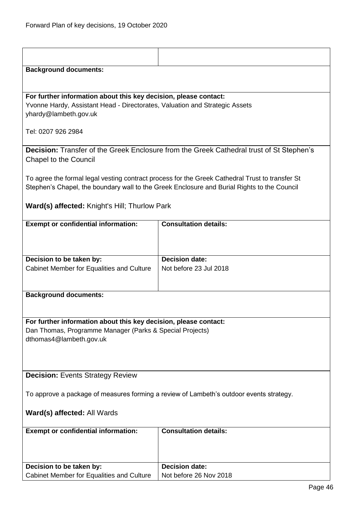<span id="page-45-1"></span><span id="page-45-0"></span>

| <b>Background documents:</b>                                                            |                                                                                                 |  |
|-----------------------------------------------------------------------------------------|-------------------------------------------------------------------------------------------------|--|
|                                                                                         |                                                                                                 |  |
| For further information about this key decision, please contact:                        |                                                                                                 |  |
| Yvonne Hardy, Assistant Head - Directorates, Valuation and Strategic Assets             |                                                                                                 |  |
| yhardy@lambeth.gov.uk                                                                   |                                                                                                 |  |
| Tel: 0207 926 2984                                                                      |                                                                                                 |  |
|                                                                                         |                                                                                                 |  |
|                                                                                         | <b>Decision:</b> Transfer of the Greek Enclosure from the Greek Cathedral trust of St Stephen's |  |
| <b>Chapel to the Council</b>                                                            |                                                                                                 |  |
|                                                                                         | To agree the formal legal vesting contract process for the Greek Cathedral Trust to transfer St |  |
|                                                                                         | Stephen's Chapel, the boundary wall to the Greek Enclosure and Burial Rights to the Council     |  |
|                                                                                         |                                                                                                 |  |
| <b>Ward(s) affected:</b> Knight's Hill; Thurlow Park                                    |                                                                                                 |  |
| <b>Exempt or confidential information:</b>                                              | <b>Consultation details:</b>                                                                    |  |
|                                                                                         |                                                                                                 |  |
|                                                                                         |                                                                                                 |  |
| Decision to be taken by:                                                                | <b>Decision date:</b>                                                                           |  |
| Cabinet Member for Equalities and Culture                                               | Not before 23 Jul 2018                                                                          |  |
|                                                                                         |                                                                                                 |  |
| <b>Background documents:</b>                                                            |                                                                                                 |  |
|                                                                                         |                                                                                                 |  |
|                                                                                         |                                                                                                 |  |
| For further information about this key decision, please contact:                        |                                                                                                 |  |
| Dan Thomas, Programme Manager (Parks & Special Projects)<br>dthomas4@lambeth.gov.uk     |                                                                                                 |  |
|                                                                                         |                                                                                                 |  |
|                                                                                         |                                                                                                 |  |
|                                                                                         |                                                                                                 |  |
| <b>Decision: Events Strategy Review</b>                                                 |                                                                                                 |  |
| To approve a package of measures forming a review of Lambeth's outdoor events strategy. |                                                                                                 |  |
|                                                                                         |                                                                                                 |  |
| Ward(s) affected: All Wards                                                             |                                                                                                 |  |
| <b>Exempt or confidential information:</b>                                              | <b>Consultation details:</b>                                                                    |  |
|                                                                                         |                                                                                                 |  |
|                                                                                         |                                                                                                 |  |
| Decision to be taken by:                                                                | <b>Decision date:</b>                                                                           |  |
| Cabinet Member for Equalities and Culture                                               | Not before 26 Nov 2018                                                                          |  |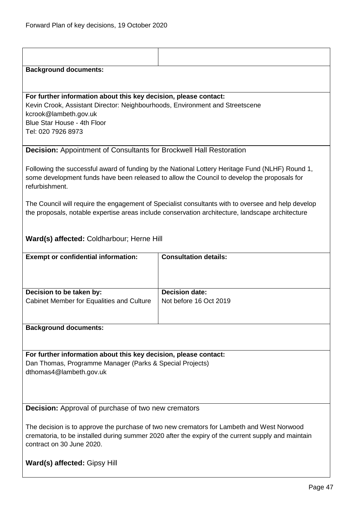<span id="page-46-1"></span><span id="page-46-0"></span>

| <b>Background documents:</b>                                                                                                                                                                                                   |                              |  |
|--------------------------------------------------------------------------------------------------------------------------------------------------------------------------------------------------------------------------------|------------------------------|--|
|                                                                                                                                                                                                                                |                              |  |
| For further information about this key decision, please contact:<br>Kevin Crook, Assistant Director: Neighbourhoods, Environment and Streetscene<br>kcrook@lambeth.gov.uk<br>Blue Star House - 4th Floor<br>Tel: 020 7926 8973 |                              |  |
| <b>Decision:</b> Appointment of Consultants for Brockwell Hall Restoration                                                                                                                                                     |                              |  |
| Following the successful award of funding by the National Lottery Heritage Fund (NLHF) Round 1,<br>some development funds have been released to allow the Council to develop the proposals for<br>refurbishment.               |                              |  |
| The Council will require the engagement of Specialist consultants with to oversee and help develop<br>the proposals, notable expertise areas include conservation architecture, landscape architecture                         |                              |  |
| Ward(s) affected: Coldharbour; Herne Hill                                                                                                                                                                                      |                              |  |
| <b>Exempt or confidential information:</b>                                                                                                                                                                                     | <b>Consultation details:</b> |  |
| Decision to be taken by:                                                                                                                                                                                                       | <b>Decision date:</b>        |  |
| Cabinet Member for Equalities and Culture                                                                                                                                                                                      | Not before 16 Oct 2019       |  |
| <b>Background documents:</b>                                                                                                                                                                                                   |                              |  |
|                                                                                                                                                                                                                                |                              |  |
| For further information about this key decision, please contact:<br>Dan Thomas, Programme Manager (Parks & Special Projects)<br>dthomas4@lambeth.gov.uk                                                                        |                              |  |
| <b>Decision:</b> Approval of purchase of two new cremators                                                                                                                                                                     |                              |  |
| The decision is to approve the purchase of two new cremators for Lambeth and West Norwood<br>crematoria, to be installed during summer 2020 after the expiry of the current supply and maintain<br>contract on 30 June 2020.   |                              |  |
| <b>Ward(s) affected: Gipsy Hill</b>                                                                                                                                                                                            |                              |  |
|                                                                                                                                                                                                                                | Page 47                      |  |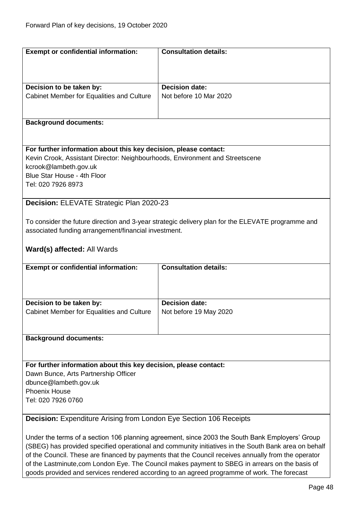<span id="page-47-1"></span><span id="page-47-0"></span>

| <b>Exempt or confidential information:</b>                                   | <b>Consultation details:</b>                                                                         |
|------------------------------------------------------------------------------|------------------------------------------------------------------------------------------------------|
|                                                                              |                                                                                                      |
|                                                                              |                                                                                                      |
|                                                                              |                                                                                                      |
| Decision to be taken by:                                                     | <b>Decision date:</b>                                                                                |
| Cabinet Member for Equalities and Culture                                    | Not before 10 Mar 2020                                                                               |
|                                                                              |                                                                                                      |
|                                                                              |                                                                                                      |
| <b>Background documents:</b>                                                 |                                                                                                      |
|                                                                              |                                                                                                      |
|                                                                              |                                                                                                      |
| For further information about this key decision, please contact:             |                                                                                                      |
| Kevin Crook, Assistant Director: Neighbourhoods, Environment and Streetscene |                                                                                                      |
| kcrook@lambeth.gov.uk                                                        |                                                                                                      |
| Blue Star House - 4th Floor                                                  |                                                                                                      |
| Tel: 020 7926 8973                                                           |                                                                                                      |
|                                                                              |                                                                                                      |
| Decision: ELEVATE Strategic Plan 2020-23                                     |                                                                                                      |
|                                                                              |                                                                                                      |
|                                                                              | To consider the future direction and 3-year strategic delivery plan for the ELEVATE programme and    |
| associated funding arrangement/financial investment.                         |                                                                                                      |
|                                                                              |                                                                                                      |
| Ward(s) affected: All Wards                                                  |                                                                                                      |
|                                                                              |                                                                                                      |
| <b>Exempt or confidential information:</b>                                   | <b>Consultation details:</b>                                                                         |
|                                                                              |                                                                                                      |
|                                                                              |                                                                                                      |
|                                                                              |                                                                                                      |
|                                                                              |                                                                                                      |
| Decision to be taken by:                                                     | <b>Decision date:</b>                                                                                |
| Cabinet Member for Equalities and Culture                                    | Not before 19 May 2020                                                                               |
|                                                                              |                                                                                                      |
|                                                                              |                                                                                                      |
| <b>Background documents:</b>                                                 |                                                                                                      |
|                                                                              |                                                                                                      |
|                                                                              |                                                                                                      |
| For further information about this key decision, please contact:             |                                                                                                      |
| Dawn Bunce, Arts Partnership Officer                                         |                                                                                                      |
| dbunce@lambeth.gov.uk                                                        |                                                                                                      |
| <b>Phoenix House</b>                                                         |                                                                                                      |
| Tel: 020 7926 0760                                                           |                                                                                                      |
|                                                                              |                                                                                                      |
| <b>Decision:</b> Expenditure Arising from London Eye Section 106 Receipts    |                                                                                                      |
|                                                                              |                                                                                                      |
|                                                                              | Under the terms of a section 106 planning agreement, since 2003 the South Bank Employers' Group      |
|                                                                              | (SBEG) has provided specified operational and community initiatives in the South Bank area on behalf |
|                                                                              | of the Council. These are financed by payments that the Council receives annually from the operator  |
|                                                                              | of the Lastminute, com London Eye. The Council makes payment to SBEG in arrears on the basis of      |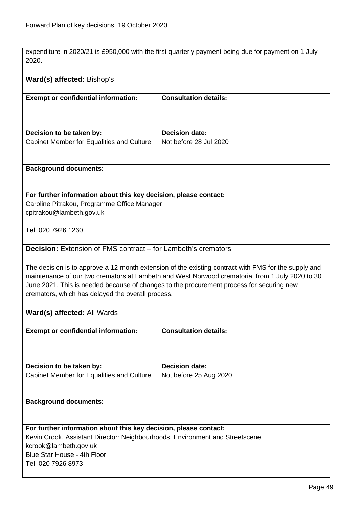expenditure in 2020/21 is £950,000 with the first quarterly payment being due for payment on 1 July 2020.

# **Ward(s) affected:** Bishop's

| <b>Exempt or confidential information:</b> | <b>Consultation details:</b> |
|--------------------------------------------|------------------------------|
| Decision to be taken by:                   | <b>Decision date:</b>        |
| Cabinet Member for Equalities and Culture  | Not before 28 Jul 2020       |
|                                            |                              |

#### **Background documents:**

#### **For further information about this key decision, please contact:** Caroline Pitrakou, Programme Office Manager

cpitrakou@lambeth.gov.uk

Tel: 020 7926 1260

# <span id="page-48-0"></span>**Decision:** Extension of FMS contract – for Lambeth's cremators

The decision is to approve a 12-month extension of the existing contract with FMS for the supply and maintenance of our two cremators at Lambeth and West Norwood crematoria, from 1 July 2020 to 30 June 2021. This is needed because of changes to the procurement process for securing new cremators, which has delayed the overall process.

# **Ward(s) affected:** All Wards

| <b>Exempt or confidential information:</b> | <b>Consultation details:</b> |
|--------------------------------------------|------------------------------|
| Decision to be taken by:                   | <b>Decision date:</b>        |
| Cabinet Member for Equalities and Culture  | Not before 25 Aug 2020       |

#### **Background documents:**

#### **For further information about this key decision, please contact:**

Kevin Crook, Assistant Director: Neighbourhoods, Environment and Streetscene kcrook@lambeth.gov.uk Blue Star House - 4th Floor Tel: 020 7926 8973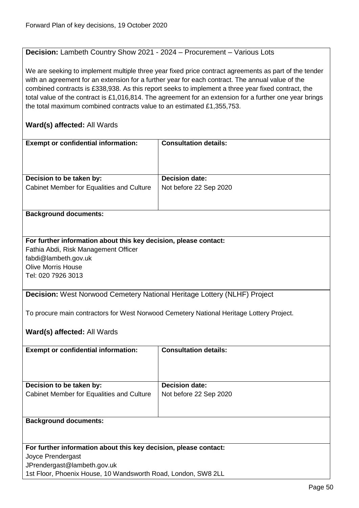# <span id="page-49-0"></span>**Decision:** Lambeth Country Show 2021 - 2024 – Procurement – Various Lots

We are seeking to implement multiple three year fixed price contract agreements as part of the tender with an agreement for an extension for a further year for each contract. The annual value of the combined contracts is £338,938. As this report seeks to implement a three year fixed contract, the total value of the contract is £1,016,814. The agreement for an extension for a further one year brings the total maximum combined contracts value to an estimated £1,355,753.

<span id="page-49-1"></span>

| <b>Exempt or confidential information:</b>                                      | <b>Consultation details:</b>                                                             |
|---------------------------------------------------------------------------------|------------------------------------------------------------------------------------------|
|                                                                                 |                                                                                          |
|                                                                                 |                                                                                          |
|                                                                                 |                                                                                          |
| Decision to be taken by:                                                        | <b>Decision date:</b>                                                                    |
| Cabinet Member for Equalities and Culture                                       | Not before 22 Sep 2020                                                                   |
|                                                                                 |                                                                                          |
|                                                                                 |                                                                                          |
| <b>Background documents:</b>                                                    |                                                                                          |
|                                                                                 |                                                                                          |
|                                                                                 |                                                                                          |
| For further information about this key decision, please contact:                |                                                                                          |
|                                                                                 |                                                                                          |
| Fathia Abdi, Risk Management Officer                                            |                                                                                          |
| fabdi@lambeth.gov.uk                                                            |                                                                                          |
| <b>Olive Morris House</b>                                                       |                                                                                          |
| Tel: 020 7926 3013                                                              |                                                                                          |
|                                                                                 |                                                                                          |
| <b>Decision:</b> West Norwood Cemetery National Heritage Lottery (NLHF) Project |                                                                                          |
|                                                                                 |                                                                                          |
|                                                                                 | To procure main contractors for West Norwood Cemetery National Heritage Lottery Project. |
|                                                                                 |                                                                                          |
| Ward(s) affected: All Wards                                                     |                                                                                          |
|                                                                                 |                                                                                          |
|                                                                                 | <b>Consultation details:</b>                                                             |
| <b>Exempt or confidential information:</b>                                      |                                                                                          |
|                                                                                 |                                                                                          |
|                                                                                 |                                                                                          |
|                                                                                 |                                                                                          |
| Decision to be taken by:                                                        | <b>Decision date:</b>                                                                    |
| Cabinet Member for Equalities and Culture                                       | Not before 22 Sep 2020                                                                   |
|                                                                                 |                                                                                          |
|                                                                                 |                                                                                          |
| <b>Background documents:</b>                                                    |                                                                                          |
|                                                                                 |                                                                                          |
|                                                                                 |                                                                                          |
| For further information about this key decision, please contact:                |                                                                                          |
| Joyce Prendergast                                                               |                                                                                          |
| JPrendergast@lambeth.gov.uk                                                     |                                                                                          |
| 1st Floor, Phoenix House, 10 Wandsworth Road, London, SW8 2LL                   |                                                                                          |
|                                                                                 |                                                                                          |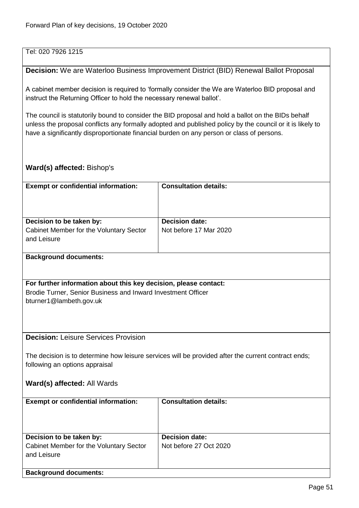# Tel: 020 7926 1215

#### <span id="page-50-0"></span>**Decision:** We are Waterloo Business Improvement District (BID) Renewal Ballot Proposal

A cabinet member decision is required to 'formally consider the We are Waterloo BID proposal and instruct the Returning Officer to hold the necessary renewal ballot'.

The council is statutorily bound to consider the BID proposal and hold a ballot on the BIDs behalf unless the proposal conflicts any formally adopted and published policy by the council or it is likely to have a significantly disproportionate financial burden on any person or class of persons.

#### **Ward(s) affected:** Bishop's

<span id="page-50-1"></span>

| <b>Exempt or confidential information:</b>                                                                                            | <b>Consultation details:</b> |
|---------------------------------------------------------------------------------------------------------------------------------------|------------------------------|
|                                                                                                                                       |                              |
|                                                                                                                                       |                              |
| Decision to be taken by:                                                                                                              | <b>Decision date:</b>        |
| Cabinet Member for the Voluntary Sector                                                                                               | Not before 17 Mar 2020       |
| and Leisure                                                                                                                           |                              |
| <b>Background documents:</b>                                                                                                          |                              |
|                                                                                                                                       |                              |
| For further information about this key decision, please contact:                                                                      |                              |
| Brodie Turner, Senior Business and Inward Investment Officer                                                                          |                              |
| bturner1@lambeth.gov.uk                                                                                                               |                              |
|                                                                                                                                       |                              |
|                                                                                                                                       |                              |
|                                                                                                                                       |                              |
| <b>Decision: Leisure Services Provision</b>                                                                                           |                              |
|                                                                                                                                       |                              |
| The decision is to determine how leisure services will be provided after the current contract ends;<br>following an options appraisal |                              |
|                                                                                                                                       |                              |
| Ward(s) affected: All Wards                                                                                                           |                              |
|                                                                                                                                       |                              |
| <b>Exempt or confidential information:</b>                                                                                            | <b>Consultation details:</b> |
|                                                                                                                                       |                              |
|                                                                                                                                       |                              |
| Decision to be taken by:                                                                                                              | <b>Decision date:</b>        |
| Cabinet Member for the Voluntary Sector                                                                                               | Not before 27 Oct 2020       |
| and Leisure                                                                                                                           |                              |
| <b>Background documents:</b>                                                                                                          |                              |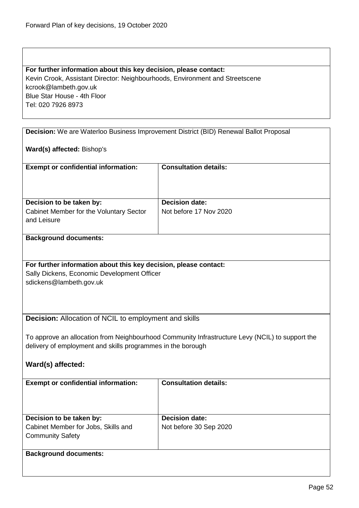| For further information about this key decision, please contact:             |  |
|------------------------------------------------------------------------------|--|
| Kevin Crook, Assistant Director: Neighbourhoods, Environment and Streetscene |  |
| kcrook@lambeth.gov.uk                                                        |  |
| Blue Star House - 4th Floor                                                  |  |
| Tel: 020 7926 8973                                                           |  |

<span id="page-51-1"></span><span id="page-51-0"></span>

|                                                                                                                                                                | Decision: We are Waterloo Business Improvement District (BID) Renewal Ballot Proposal |
|----------------------------------------------------------------------------------------------------------------------------------------------------------------|---------------------------------------------------------------------------------------|
| Ward(s) affected: Bishop's                                                                                                                                     |                                                                                       |
|                                                                                                                                                                |                                                                                       |
| <b>Exempt or confidential information:</b>                                                                                                                     | <b>Consultation details:</b>                                                          |
|                                                                                                                                                                |                                                                                       |
|                                                                                                                                                                |                                                                                       |
| Decision to be taken by:                                                                                                                                       | <b>Decision date:</b>                                                                 |
| Cabinet Member for the Voluntary Sector                                                                                                                        | Not before 17 Nov 2020                                                                |
| and Leisure                                                                                                                                                    |                                                                                       |
| <b>Background documents:</b>                                                                                                                                   |                                                                                       |
|                                                                                                                                                                |                                                                                       |
|                                                                                                                                                                |                                                                                       |
| For further information about this key decision, please contact:<br>Sally Dickens, Economic Development Officer                                                |                                                                                       |
| sdickens@lambeth.gov.uk                                                                                                                                        |                                                                                       |
|                                                                                                                                                                |                                                                                       |
|                                                                                                                                                                |                                                                                       |
|                                                                                                                                                                |                                                                                       |
| Decision: Allocation of NCIL to employment and skills                                                                                                          |                                                                                       |
|                                                                                                                                                                |                                                                                       |
| To approve an allocation from Neighbourhood Community Infrastructure Levy (NCIL) to support the<br>delivery of employment and skills programmes in the borough |                                                                                       |
|                                                                                                                                                                |                                                                                       |
| Ward(s) affected:                                                                                                                                              |                                                                                       |
|                                                                                                                                                                |                                                                                       |
| <b>Exempt or confidential information:</b>                                                                                                                     | <b>Consultation details:</b>                                                          |
|                                                                                                                                                                |                                                                                       |
|                                                                                                                                                                |                                                                                       |
| Decision to be taken by:                                                                                                                                       | <b>Decision date:</b>                                                                 |
| Cabinet Member for Jobs, Skills and                                                                                                                            | Not before 30 Sep 2020                                                                |
| <b>Community Safety</b>                                                                                                                                        |                                                                                       |
| <b>Background documents:</b>                                                                                                                                   |                                                                                       |
|                                                                                                                                                                |                                                                                       |
|                                                                                                                                                                |                                                                                       |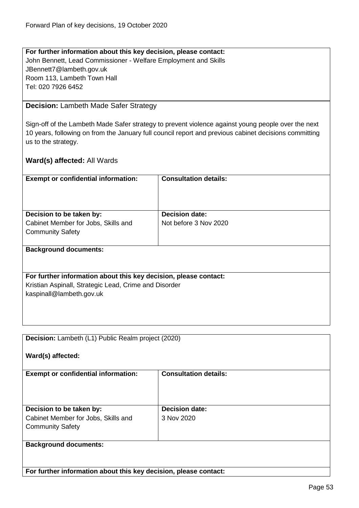# **For further information about this key decision, please contact:** John Bennett, Lead Commissioner - Welfare Employment and Skills JBennett7@lambeth.gov.uk Room 113, Lambeth Town Hall Tel: 020 7926 6452

# <span id="page-52-0"></span>**Decision:** Lambeth Made Safer Strategy

Sign-off of the Lambeth Made Safer strategy to prevent violence against young people over the next 10 years, following on from the January full council report and previous cabinet decisions committing us to the strategy.

| <b>Exempt or confidential information:</b>                       | <b>Consultation details:</b> |
|------------------------------------------------------------------|------------------------------|
|                                                                  |                              |
| Decision to be taken by:                                         | <b>Decision date:</b>        |
| Cabinet Member for Jobs, Skills and                              | Not before 3 Nov 2020        |
| <b>Community Safety</b>                                          |                              |
| <b>Background documents:</b>                                     |                              |
|                                                                  |                              |
| For further information about this key decision, please contact: |                              |
| Kristian Aspinall, Strategic Lead, Crime and Disorder            |                              |
| kaspinall@lambeth.gov.uk                                         |                              |
|                                                                  |                              |
|                                                                  |                              |

<span id="page-52-1"></span>

| Decision: Lambeth (L1) Public Realm project (2020)               |                              |
|------------------------------------------------------------------|------------------------------|
| Ward(s) affected:                                                |                              |
| <b>Exempt or confidential information:</b>                       | <b>Consultation details:</b> |
| Decision to be taken by:                                         | <b>Decision date:</b>        |
| Cabinet Member for Jobs, Skills and<br><b>Community Safety</b>   | 3 Nov 2020                   |
| <b>Background documents:</b>                                     |                              |
| For further information about this key decision, please contact: |                              |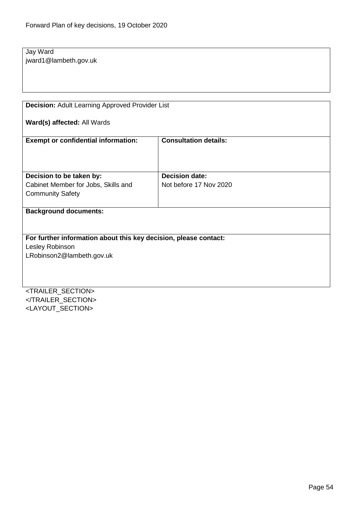Jay Ward jward1@lambeth.gov.uk

<span id="page-53-0"></span>**Decision:** Adult Learning Approved Provider List

**Ward(s) affected:** All Wards

| <b>Exempt or confidential information:</b>                       | <b>Consultation details:</b> |
|------------------------------------------------------------------|------------------------------|
|                                                                  |                              |
|                                                                  |                              |
| Decision to be taken by:                                         | <b>Decision date:</b>        |
| Cabinet Member for Jobs, Skills and                              | Not before 17 Nov 2020       |
| <b>Community Safety</b>                                          |                              |
|                                                                  |                              |
| <b>Background documents:</b>                                     |                              |
|                                                                  |                              |
|                                                                  |                              |
| For further information about this key decision, please contact: |                              |
| Lesley Robinson                                                  |                              |
| LRobinson2@lambeth.gov.uk                                        |                              |
|                                                                  |                              |
|                                                                  |                              |

<TRAILER\_SECTION> </TRAILER\_SECTION> <LAYOUT\_SECTION>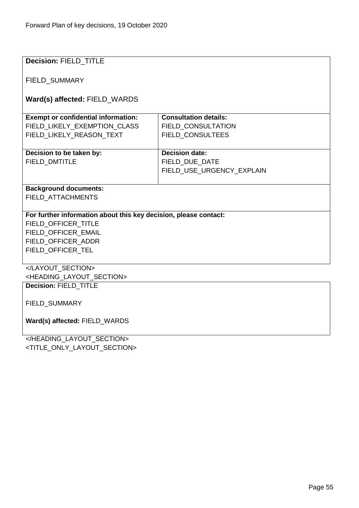| Decision: FIELD_TITLE                                            |                              |  |
|------------------------------------------------------------------|------------------------------|--|
|                                                                  |                              |  |
| FIELD_SUMMARY                                                    |                              |  |
| Ward(s) affected: FIELD_WARDS                                    |                              |  |
| <b>Exempt or confidential information:</b>                       | <b>Consultation details:</b> |  |
| FIELD LIKELY EXEMPTION CLASS                                     | <b>FIELD CONSULTATION</b>    |  |
|                                                                  |                              |  |
| FIELD_LIKELY_REASON_TEXT                                         | FIELD_CONSULTEES             |  |
| Decision to be taken by:                                         | <b>Decision date:</b>        |  |
| FIELD_DMTITLE                                                    | FIELD_DUE_DATE               |  |
|                                                                  | FIELD_USE_URGENCY_EXPLAIN    |  |
|                                                                  |                              |  |
| <b>Background documents:</b>                                     |                              |  |
| FIELD_ATTACHMENTS                                                |                              |  |
|                                                                  |                              |  |
| For further information about this key decision, please contact: |                              |  |
| FIELD OFFICER TITLE<br>FIELD_OFFICER_EMAIL                       |                              |  |
| FIELD_OFFICER_ADDR                                               |                              |  |
| FIELD_OFFICER_TEL                                                |                              |  |
|                                                                  |                              |  |
|                                                                  |                              |  |
| <heading_layout_section></heading_layout_section>                |                              |  |
| Decision: FIELD_TITLE                                            |                              |  |
|                                                                  |                              |  |
| FIELD_SUMMARY                                                    |                              |  |
| Ward(s) affected: FIELD_WARDS                                    |                              |  |
|                                                                  |                              |  |
|                                                                  |                              |  |

<TITLE\_ONLY\_LAYOUT\_SECTION>